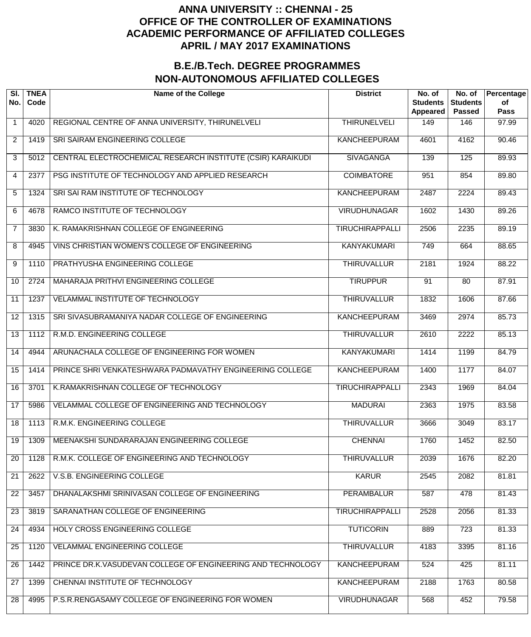| SI.<br>No.      | <b>TNEA</b><br>Code | <b>Name of the College</b>                                  | <b>District</b>        | No. of<br><b>Students</b><br>Appeared | No. of<br><b>Students</b><br><b>Passed</b> | Percentage<br>of<br><b>Pass</b> |
|-----------------|---------------------|-------------------------------------------------------------|------------------------|---------------------------------------|--------------------------------------------|---------------------------------|
| $\mathbf 1$     | 4020                | REGIONAL CENTRE OF ANNA UNIVERSITY, THIRUNELVELI            | <b>THIRUNELVELI</b>    | 149                                   | 146                                        | 97.99                           |
| $\overline{2}$  | 1419                | SRI SAIRAM ENGINEERING COLLEGE                              | <b>KANCHEEPURAM</b>    | 4601                                  | 4162                                       | $\frac{1}{90.46}$               |
| 3               | 5012                | CENTRAL ELECTROCHEMICAL RESEARCH INSTITUTE (CSIR) KARAIKUDI | <b>SIVAGANGA</b>       | 139                                   | 125                                        | 89.93                           |
| 4               | 2377                | PSG INSTITUTE OF TECHNOLOGY AND APPLIED RESEARCH            | <b>COIMBATORE</b>      | 951                                   | 854                                        | 89.80                           |
| 5               | 1324                | SRI SAI RAM INSTITUTE OF TECHNOLOGY                         | KANCHEEPURAM           | 2487                                  | 2224                                       | 89.43                           |
| 6               | 4678                | RAMCO INSTITUTE OF TECHNOLOGY                               | <b>VIRUDHUNAGAR</b>    | 1602                                  | 1430                                       | 89.26                           |
| $\overline{7}$  | 3830                | K. RAMAKRISHNAN COLLEGE OF ENGINEERING                      | <b>TIRUCHIRAPPALLI</b> | 2506                                  | 2235                                       | 89.19                           |
| 8               | 4945                | VINS CHRISTIAN WOMEN'S COLLEGE OF ENGINEERING               | <b>KANYAKUMARI</b>     | 749                                   | 664                                        | 88.65                           |
| 9               | $\overline{1}110$   | PRATHYUSHA ENGINEERING COLLEGE                              | <b>THIRUVALLUR</b>     | 2181                                  | 1924                                       | 88.22                           |
| 10              | 2724                | MAHARAJA PRITHVI ENGINEERING COLLEGE                        | <b>TIRUPPUR</b>        | 91                                    | 80                                         | 87.91                           |
| 11              | 1237                | VELAMMAL INSTITUTE OF TECHNOLOGY                            | <b>THIRUVALLUR</b>     | 1832                                  | 1606                                       | 87.66                           |
| 12              | 1315                | SRI SIVASUBRAMANIYA NADAR COLLEGE OF ENGINEERING            | KANCHEEPURAM           | 3469                                  | 2974                                       | 85.73                           |
| 13              | 1112                | R.M.D. ENGINEERING COLLEGE                                  | <b>THIRUVALLUR</b>     | 2610                                  | 2222                                       | 85.13                           |
| 14              | 4944                | ARUNACHALA COLLEGE OF ENGINEERING FOR WOMEN                 | <b>KANYAKUMARI</b>     | 1414                                  | 1199                                       | 84.79                           |
| 15              | 1414                | PRINCE SHRI VENKATESHWARA PADMAVATHY ENGINEERING COLLEGE    | <b>KANCHEEPURAM</b>    | 1400                                  | 1177                                       | 84.07                           |
| 16              | 3701                | K.RAMAKRISHNAN COLLEGE OF TECHNOLOGY                        | <b>TIRUCHIRAPPALLI</b> | 2343                                  | 1969                                       | 84.04                           |
| $\overline{17}$ | 5986                | <b>VELAMMAL COLLEGE OF ENGINEERING AND TECHNOLOGY</b>       | <b>MADURAI</b>         | 2363                                  | 1975                                       | 83.58                           |
| 18              | 1113                | R.M.K. ENGINEERING COLLEGE                                  | <b>THIRUVALLUR</b>     | 3666                                  | 3049                                       | 83.17                           |
| 19              | 1309                | MEENAKSHI SUNDARARAJAN ENGINEERING COLLEGE                  | <b>CHENNAI</b>         | 1760                                  | 1452                                       | 82.50                           |
| 20              | 1128                | R.M.K. COLLEGE OF ENGINEERING AND TECHNOLOGY                | <b>THIRUVALLUR</b>     | 2039                                  | 1676                                       | 82.20                           |
| 21              | 2622                | V.S.B. ENGINEERING COLLEGE                                  | <b>KARUR</b>           | 2545                                  | 2082                                       | 81.81                           |
| 22              | 3457                | DHANALAKSHMI SRINIVASAN COLLEGE OF ENGINEERING              | <b>PERAMBALUR</b>      | 587                                   | 478                                        | 81.43                           |
| 23              | 3819                | SARANATHAN COLLEGE OF ENGINEERING                           | <b>TIRUCHIRAPPALLI</b> | 2528                                  | 2056                                       | 81.33                           |
| 24              | 4934                | HOLY CROSS ENGINEERING COLLEGE                              | <b>TUTICORIN</b>       | 889                                   | 723                                        | 81.33                           |
| 25              | 1120                | <b>VELAMMAL ENGINEERING COLLEGE</b>                         | <b>THIRUVALLUR</b>     | 4183                                  | 3395                                       | 81.16                           |
| 26              | 1442                | PRINCE DR.K.VASUDEVAN COLLEGE OF ENGINEERING AND TECHNOLOGY | <b>KANCHEEPURAM</b>    | 524                                   | 425                                        | 81.11                           |
| 27              | 1399                | CHENNAI INSTITUTE OF TECHNOLOGY                             | <b>KANCHEEPURAM</b>    | 2188                                  | 1763                                       | 80.58                           |
| 28              | 4995                | P.S.R.RENGASAMY COLLEGE OF ENGINEERING FOR WOMEN            | <b>VIRUDHUNAGAR</b>    | 568                                   | 452                                        | 79.58                           |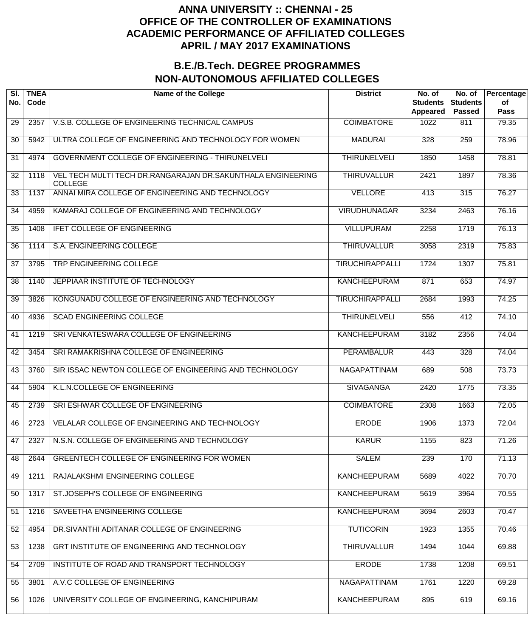| SI.<br>No. | <b>TNEA</b><br>Code | <b>Name of the College</b>                                                    | <b>District</b>        | No. of<br><b>Students</b><br>Appeared | No. of<br><b>Students</b><br><b>Passed</b> | Percentage<br>of<br><b>Pass</b> |
|------------|---------------------|-------------------------------------------------------------------------------|------------------------|---------------------------------------|--------------------------------------------|---------------------------------|
| 29         | 2357                | V.S.B. COLLEGE OF ENGINEERING TECHNICAL CAMPUS                                | <b>COIMBATORE</b>      | 1022                                  | 811                                        | 79.35                           |
| 30         | 5942                | ULTRA COLLEGE OF ENGINEERING AND TECHNOLOGY FOR WOMEN                         | <b>MADURAI</b>         | 328                                   | 259                                        | 78.96                           |
| 31         | 4974                | GOVERNMENT COLLEGE OF ENGINEERING - THIRUNELVELI                              | <b>THIRUNELVELI</b>    | 1850                                  | $\frac{1}{1458}$                           | 78.81                           |
| 32         | 1118                | VEL TECH MULTI TECH DR.RANGARAJAN DR.SAKUNTHALA ENGINEERING<br><b>COLLEGE</b> | <b>THIRUVALLUR</b>     | 2421                                  | 1897                                       | 78.36                           |
| 33         | 1137                | ANNAI MIRA COLLEGE OF ENGINEERING AND TECHNOLOGY                              | <b>VELLORE</b>         | 413                                   | 315                                        | 76.27                           |
| 34         | 4959                | KAMARAJ COLLEGE OF ENGINEERING AND TECHNOLOGY                                 | <b>VIRUDHUNAGAR</b>    | 3234                                  | 2463                                       | 76.16                           |
| 35         | 1408                | <b>IFET COLLEGE OF ENGINEERING</b>                                            | <b>VILLUPURAM</b>      | 2258                                  | 1719                                       | 76.13                           |
| 36         | 1114                | S.A. ENGINEERING COLLEGE                                                      | <b>THIRUVALLUR</b>     | 3058                                  | 2319                                       | 75.83                           |
| 37         | 3795                | TRP ENGINEERING COLLEGE                                                       | <b>TIRUCHIRAPPALLI</b> | 1724                                  | 1307                                       | 75.81                           |
| 38         | 1140                | JEPPIAAR INSTITUTE OF TECHNOLOGY                                              | <b>KANCHEEPURAM</b>    | 871                                   | 653                                        | 74.97                           |
| 39         | 3826                | KONGUNADU COLLEGE OF ENGINEERING AND TECHNOLOGY                               | <b>TIRUCHIRAPPALLI</b> | 2684                                  | 1993                                       | 74.25                           |
| 40         | 4936                | <b>SCAD ENGINEERING COLLEGE</b>                                               | <b>THIRUNELVELI</b>    | 556                                   | 412                                        | 74.10                           |
| 41         | 1219                | SRI VENKATESWARA COLLEGE OF ENGINEERING                                       | <b>KANCHEEPURAM</b>    | 3182                                  | 2356                                       | 74.04                           |
| 42         | 3454                | SRI RAMAKRISHNA COLLEGE OF ENGINEERING                                        | <b>PERAMBALUR</b>      | 443                                   | 328                                        | 74.04                           |
| 43         | 3760                | SIR ISSAC NEWTON COLLEGE OF ENGINEERING AND TECHNOLOGY                        | NAGAPATTINAM           | 689                                   | 508                                        | 73.73                           |
| 44         | 5904                | K.L.N.COLLEGE OF ENGINEERING                                                  | <b>SIVAGANGA</b>       | 2420                                  | 1775                                       | 73.35                           |
| 45         | 2739                | SRI ESHWAR COLLEGE OF ENGINEERING                                             | <b>COIMBATORE</b>      | 2308                                  | 1663                                       | 72.05                           |
| 46         | 2723                | VELALAR COLLEGE OF ENGINEERING AND TECHNOLOGY                                 | <b>ERODE</b>           | 1906                                  | 1373                                       | 72.04                           |
| 47         | 2327                | N.S.N. COLLEGE OF ENGINEERING AND TECHNOLOGY                                  | <b>KARUR</b>           | 1155                                  | 823                                        | 71.26                           |
| 48         | 2644                | GREENTECH COLLEGE OF ENGINEERING FOR WOMEN                                    | <b>SALEM</b>           | 239                                   | 170                                        | 71.13                           |
| 49         | 1211                | RAJALAKSHMI ENGINEERING COLLEGE                                               | <b>KANCHEEPURAM</b>    | 5689                                  | 4022                                       | 70.70                           |
| 50         | 1317                | ST.JOSEPH'S COLLEGE OF ENGINEERING                                            | <b>KANCHEEPURAM</b>    | 5619                                  | 3964                                       | 70.55                           |
| 51         | 1216                | SAVEETHA ENGINEERING COLLEGE                                                  | <b>KANCHEEPURAM</b>    | 3694                                  | 2603                                       | 70.47                           |
| 52         | 4954                | DR.SIVANTHI ADITANAR COLLEGE OF ENGINEERING                                   | <b>TUTICORIN</b>       | 1923                                  | 1355                                       | 70.46                           |
| 53         | 1238                | GRT INSTITUTE OF ENGINEERING AND TECHNOLOGY                                   | <b>THIRUVALLUR</b>     | 1494                                  | 1044                                       | 69.88                           |
| 54         | 2709                | INSTITUTE OF ROAD AND TRANSPORT TECHNOLOGY                                    | <b>ERODE</b>           | 1738                                  | 1208                                       | 69.51                           |
| 55         | 3801                | A.V.C COLLEGE OF ENGINEERING                                                  | NAGAPATTINAM           | 1761                                  | 1220                                       | 69.28                           |
| 56         | 1026                | UNIVERSITY COLLEGE OF ENGINEERING, KANCHIPURAM                                | <b>KANCHEEPURAM</b>    | 895                                   | 619                                        | 69.16                           |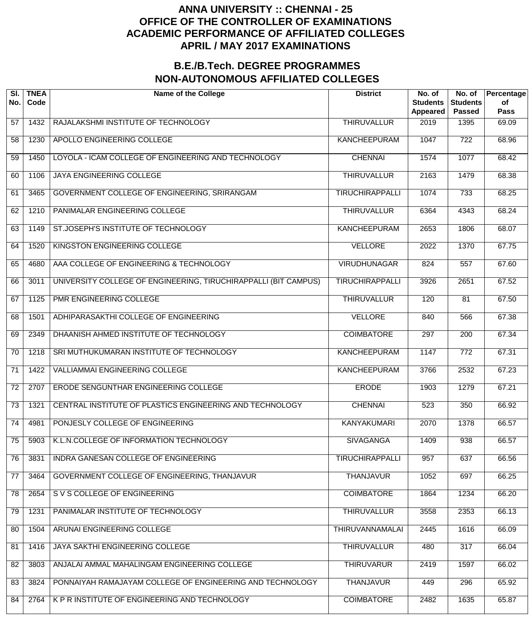| SI.<br>No.      | <b>TNEA</b><br>Code | <b>Name of the College</b>                                      | <b>District</b>        | No. of<br><b>Students</b><br><b>Appeared</b> | No. of<br><b>Students</b><br><b>Passed</b> | Percentage<br>of<br><b>Pass</b> |
|-----------------|---------------------|-----------------------------------------------------------------|------------------------|----------------------------------------------|--------------------------------------------|---------------------------------|
| 57              | 1432                | RAJALAKSHMI INSTITUTE OF TECHNOLOGY                             | <b>THIRUVALLUR</b>     | 2019                                         | 1395                                       | 69.09                           |
| 58              | 1230                | APOLLO ENGINEERING COLLEGE                                      | <b>KANCHEEPURAM</b>    | 1047                                         | $\overline{722}$                           | 68.96                           |
| 59              | 1450                | LOYOLA - ICAM COLLEGE OF ENGINEERING AND TECHNOLOGY             | <b>CHENNAI</b>         | 1574                                         | 1077                                       | 68.42                           |
| 60              | 1106                | JAYA ENGINEERING COLLEGE                                        | <b>THIRUVALLUR</b>     | 2163                                         | 1479                                       | 68.38                           |
| 61              | 3465                | GOVERNMENT COLLEGE OF ENGINEERING, SRIRANGAM                    | <b>TIRUCHIRAPPALLI</b> | 1074                                         | 733                                        | 68.25                           |
| 62              | 1210                | PANIMALAR ENGINEERING COLLEGE                                   | <b>THIRUVALLUR</b>     | 6364                                         | 4343                                       | 68.24                           |
| 63              | 1149                | ST.JOSEPH'S INSTITUTE OF TECHNOLOGY                             | <b>KANCHEEPURAM</b>    | 2653                                         | 1806                                       | 68.07                           |
| 64              | 1520                | KINGSTON ENGINEERING COLLEGE                                    | <b>VELLORE</b>         | 2022                                         | 1370                                       | 67.75                           |
| 65              | 4680                | AAA COLLEGE OF ENGINEERING & TECHNOLOGY                         | <b>VIRUDHUNAGAR</b>    | 824                                          | $\overline{557}$                           | 67.60                           |
| 66              | 3011                | UNIVERSITY COLLEGE OF ENGINEERING, TIRUCHIRAPPALLI (BIT CAMPUS) | <b>TIRUCHIRAPPALLI</b> | 3926                                         | 2651                                       | 67.52                           |
| 67              | 1125                | PMR ENGINEERING COLLEGE                                         | <b>THIRUVALLUR</b>     | 120                                          | 81                                         | 67.50                           |
| 68              | 1501                | ADHIPARASAKTHI COLLEGE OF ENGINEERING                           | <b>VELLORE</b>         | 840                                          | 566                                        | 67.38                           |
| 69              | 2349                | DHAANISH AHMED INSTITUTE OF TECHNOLOGY                          | <b>COIMBATORE</b>      | 297                                          | 200                                        | 67.34                           |
| 70              | 1218                | SRI MUTHUKUMARAN INSTITUTE OF TECHNOLOGY                        | <b>KANCHEEPURAM</b>    | 1147                                         | $\overline{772}$                           | 67.31                           |
| 71              | 1422                | <b>VALLIAMMAI ENGINEERING COLLEGE</b>                           | <b>KANCHEEPURAM</b>    | 3766                                         | 2532                                       | 67.23                           |
| $\overline{72}$ | 2707                | ERODE SENGUNTHAR ENGINEERING COLLEGE                            | <b>ERODE</b>           | 1903                                         | 1279                                       | 67.21                           |
| $\overline{73}$ | 1321                | CENTRAL INSTITUTE OF PLASTICS ENGINEERING AND TECHNOLOGY        | <b>CHENNAI</b>         | 523                                          | 350                                        | 66.92                           |
| $\overline{74}$ | 4981                | PONJESLY COLLEGE OF ENGINEERING                                 | <b>KANYAKUMARI</b>     | 2070                                         | 1378                                       | 66.57                           |
| 75              | 5903                | K.L.N.COLLEGE OF INFORMATION TECHNOLOGY                         | <b>SIVAGANGA</b>       | 1409                                         | 938                                        | 66.57                           |
| 76              | 3831                | INDRA GANESAN COLLEGE OF ENGINEERING                            | <b>TIRUCHIRAPPALLI</b> | 957                                          | 637                                        | 66.56                           |
| 77              | 3464                | GOVERNMENT COLLEGE OF ENGINEERING, THANJAVUR                    | <b>THANJAVUR</b>       | 1052                                         | 697                                        | 66.25                           |
| 78              | 2654                | S V S COLLEGE OF ENGINEERING                                    | <b>COIMBATORE</b>      | 1864                                         | 1234                                       | 66.20                           |
| 79              | 1231                | PANIMALAR INSTITUTE OF TECHNOLOGY                               | <b>THIRUVALLUR</b>     | 3558                                         | 2353                                       | 66.13                           |
| 80              | 1504                | ARUNAI ENGINEERING COLLEGE                                      | <b>THIRUVANNAMALAI</b> | 2445                                         | 1616                                       | 66.09                           |
| 81              | 1416                | JAYA SAKTHI ENGINEERING COLLEGE                                 | <b>THIRUVALLUR</b>     | 480                                          | $\overline{317}$                           | 66.04                           |
| 82              | 3803                | ANJALAI AMMAL MAHALINGAM ENGINEERING COLLEGE                    | <b>THIRUVARUR</b>      | 2419                                         | 1597                                       | 66.02                           |
| 83              | 3824                | PONNAIYAH RAMAJAYAM COLLEGE OF ENGINEERING AND TECHNOLOGY       | <b>THANJAVUR</b>       | 449                                          | 296                                        | 65.92                           |
| 84              | 2764                | K P R INSTITUTE OF ENGINEERING AND TECHNOLOGY                   | <b>COIMBATORE</b>      | 2482                                         | 1635                                       | 65.87                           |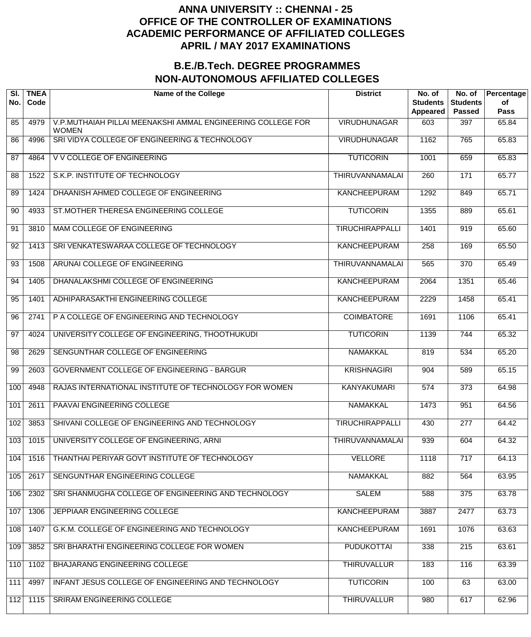| SI.<br>No. | <b>TNEA</b><br>Code | <b>Name of the College</b>                                                  | <b>District</b>        | No. of<br><b>Students</b><br><b>Appeared</b> | No. of<br><b>Students</b><br><b>Passed</b> | Percentage<br>of<br><b>Pass</b> |
|------------|---------------------|-----------------------------------------------------------------------------|------------------------|----------------------------------------------|--------------------------------------------|---------------------------------|
| 85         | 4979                | V.P.MUTHAIAH PILLAI MEENAKSHI AMMAL ENGINEERING COLLEGE FOR<br><b>WOMEN</b> | <b>VIRUDHUNAGAR</b>    | 603                                          | 397                                        | 65.84                           |
| 86         | 4996                | SRI VIDYA COLLEGE OF ENGINEERING & TECHNOLOGY                               | <b>VIRUDHUNAGAR</b>    | 1162                                         | 765                                        | 65.83                           |
| 87         | 4864                | <b>V V COLLEGE OF ENGINEERING</b>                                           | <b>TUTICORIN</b>       | 1001                                         | 659                                        | 65.83                           |
| 88         | 1522                | S.K.P. INSTITUTE OF TECHNOLOGY                                              | <b>THIRUVANNAMALAI</b> | 260                                          | $\overline{171}$                           | 65.77                           |
| 89         | 1424                | DHAANISH AHMED COLLEGE OF ENGINEERING                                       | <b>KANCHEEPURAM</b>    | 1292                                         | 849                                        | 65.71                           |
| 90         | 4933                | ST.MOTHER THERESA ENGINEERING COLLEGE                                       | <b>TUTICORIN</b>       | 1355                                         | 889                                        | 65.61                           |
| 91         | 3810                | MAM COLLEGE OF ENGINEERING                                                  | <b>TIRUCHIRAPPALLI</b> | 1401                                         | 919                                        | 65.60                           |
| 92         | 1413                | SRI VENKATESWARAA COLLEGE OF TECHNOLOGY                                     | <b>KANCHEEPURAM</b>    | 258                                          | 169                                        | 65.50                           |
| 93         | 1508                | ARUNAI COLLEGE OF ENGINEERING                                               | <b>THIRUVANNAMALAI</b> | 565                                          | $\overline{370}$                           | 65.49                           |
| 94         | 1405                | DHANALAKSHMI COLLEGE OF ENGINEERING                                         | KANCHEEPURAM           | 2064                                         | 1351                                       | 65.46                           |
| 95         | 1401                | ADHIPARASAKTHI ENGINEERING COLLEGE                                          | <b>KANCHEEPURAM</b>    | 2229                                         | 1458                                       | 65.41                           |
| 96         | 2741                | P A COLLEGE OF ENGINEERING AND TECHNOLOGY                                   | <b>COIMBATORE</b>      | 1691                                         | 1106                                       | 65.41                           |
| 97         | 4024                | UNIVERSITY COLLEGE OF ENGINEERING, THOOTHUKUDI                              | <b>TUTICORIN</b>       | 1139                                         | 744                                        | 65.32                           |
| 98         | 2629                | SENGUNTHAR COLLEGE OF ENGINEERING                                           | NAMAKKAL               | 819                                          | 534                                        | 65.20                           |
| 99         | 2603                | GOVERNMENT COLLEGE OF ENGINEERING - BARGUR                                  | <b>KRISHNAGIRI</b>     | 904                                          | 589                                        | 65.15                           |
| 100        | 4948                | RAJAS INTERNATIONAL INSTITUTE OF TECHNOLOGY FOR WOMEN                       | <b>KANYAKUMARI</b>     | 574                                          | 373                                        | 64.98                           |
| 101        | 2611                | <b>PAAVAI ENGINEERING COLLEGE</b>                                           | <b>NAMAKKAL</b>        | 1473                                         | 951                                        | 64.56                           |
| 102        | 3853                | SHIVANI COLLEGE OF ENGINEERING AND TECHNOLOGY                               | <b>TIRUCHIRAPPALLI</b> | 430                                          | $\overline{277}$                           | 64.42                           |
| 103        | 1015                | UNIVERSITY COLLEGE OF ENGINEERING, ARNI                                     | <b>THIRUVANNAMALAI</b> | 939                                          | 604                                        | 64.32                           |
| 104        | 1516                | THANTHAI PERIYAR GOVT INSTITUTE OF TECHNOLOGY                               | <b>VELLORE</b>         | 1118                                         | 717                                        | 64.13                           |
| 105        | 2617                | SENGUNTHAR ENGINEERING COLLEGE                                              | <b>NAMAKKAL</b>        | 882                                          | 564                                        | 63.95                           |
| 106        | 2302                | SRI SHANMUGHA COLLEGE OF ENGINEERING AND TECHNOLOGY                         | <b>SALEM</b>           | 588                                          | 375                                        | 63.78                           |
| 107        | 1306                | JEPPIAAR ENGINEERING COLLEGE                                                | <b>KANCHEEPURAM</b>    | 3887                                         | $\overline{2477}$                          | 63.73                           |
| 108        | 1407                | G.K.M. COLLEGE OF ENGINEERING AND TECHNOLOGY                                | <b>KANCHEEPURAM</b>    | 1691                                         | 1076                                       | 63.63                           |
| 109        | 3852                | SRI BHARATHI ENGINEERING COLLEGE FOR WOMEN                                  | <b>PUDUKOTTAI</b>      | 338                                          | 215                                        | 63.61                           |
| 110        | 1102                | BHAJARANG ENGINEERING COLLEGE                                               | <b>THIRUVALLUR</b>     | 183                                          | 116                                        | 63.39                           |
| 111        | 4997                | INFANT JESUS COLLEGE OF ENGINEERING AND TECHNOLOGY                          | <b>TUTICORIN</b>       | 100                                          | 63                                         | 63.00                           |
| 112        | 1115                | SRIRAM ENGINEERING COLLEGE                                                  | <b>THIRUVALLUR</b>     | 980                                          | 617                                        | 62.96                           |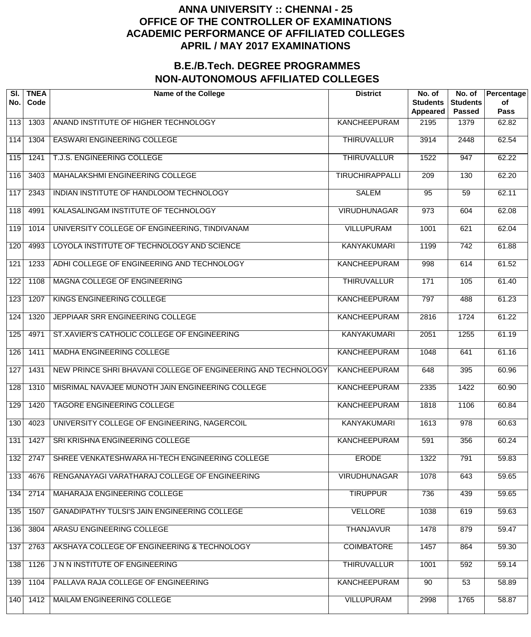| SI.<br>No. | <b>TNEA</b><br>Code | <b>Name of the College</b>                                    | <b>District</b>        | No. of<br><b>Students</b><br><b>Appeared</b> | No. of<br><b>Students</b><br><b>Passed</b> | Percentage<br>of<br><b>Pass</b> |
|------------|---------------------|---------------------------------------------------------------|------------------------|----------------------------------------------|--------------------------------------------|---------------------------------|
| 113        | 1303                | ANAND INSTITUTE OF HIGHER TECHNOLOGY                          | <b>KANCHEEPURAM</b>    | 2195                                         | 1379                                       | 62.82                           |
| 114        | 1304                | <b>EASWARI ENGINEERING COLLEGE</b>                            | <b>THIRUVALLUR</b>     | 3914                                         | 2448                                       | 62.54                           |
| 115        | 1241                | T.J.S. ENGINEERING COLLEGE                                    | <b>THIRUVALLUR</b>     | 1522                                         | 947                                        | 62.22                           |
| 116        | 3403                | MAHALAKSHMI ENGINEERING COLLEGE                               | <b>TIRUCHIRAPPALLI</b> | 209                                          | 130                                        | 62.20                           |
| 117        | 2343                | INDIAN INSTITUTE OF HANDLOOM TECHNOLOGY                       | <b>SALEM</b>           | $\overline{95}$                              | $\overline{59}$                            | 62.11                           |
| 118        | 4991                | KALASALINGAM INSTITUTE OF TECHNOLOGY                          | <b>VIRUDHUNAGAR</b>    | 973                                          | 604                                        | 62.08                           |
| 119        | 1014                | UNIVERSITY COLLEGE OF ENGINEERING, TINDIVANAM                 | <b>VILLUPURAM</b>      | 1001                                         | 621                                        | 62.04                           |
| 120        | 4993                | LOYOLA INSTITUTE OF TECHNOLOGY AND SCIENCE                    | <b>KANYAKUMARI</b>     | 1199                                         | 742                                        | 61.88                           |
| 121        | 1233                | ADHI COLLEGE OF ENGINEERING AND TECHNOLOGY                    | <b>KANCHEEPURAM</b>    | 998                                          | 614                                        | 61.52                           |
| 122        | 1108                | MAGNA COLLEGE OF ENGINEERING                                  | <b>THIRUVALLUR</b>     | 171                                          | 105                                        | 61.40                           |
| 123        | 1207                | KINGS ENGINEERING COLLEGE                                     | <b>KANCHEEPURAM</b>    | 797                                          | 488                                        | 61.23                           |
| 124        | 1320                | JEPPIAAR SRR ENGINEERING COLLEGE                              | <b>KANCHEEPURAM</b>    | 2816                                         | 1724                                       | 61.22                           |
| 125        | 4971                | ST.XAVIER'S CATHOLIC COLLEGE OF ENGINEERING                   | <b>KANYAKUMARI</b>     | 2051                                         | 1255                                       | 61.19                           |
| 126        | 1411                | MADHA ENGINEERING COLLEGE                                     | <b>KANCHEEPURAM</b>    | 1048                                         | 641                                        | 61.16                           |
| 127        | 1431                | NEW PRINCE SHRI BHAVANI COLLEGE OF ENGINEERING AND TECHNOLOGY | <b>KANCHEEPURAM</b>    | 648                                          | 395                                        | 60.96                           |
| 128        | 1310                | MISRIMAL NAVAJEE MUNOTH JAIN ENGINEERING COLLEGE              | <b>KANCHEEPURAM</b>    | 2335                                         | $\frac{1}{1422}$                           | 60.90                           |
| 129        | 1420                | <b>TAGORE ENGINEERING COLLEGE</b>                             | <b>KANCHEEPURAM</b>    | 1818                                         | 1106                                       | 60.84                           |
| 130        | 4023                | UNIVERSITY COLLEGE OF ENGINEERING, NAGERCOIL                  | <b>KANYAKUMARI</b>     | 1613                                         | $\overline{978}$                           | 60.63                           |
| 131        | 1427                | SRI KRISHNA ENGINEERING COLLEGE                               | <b>KANCHEEPURAM</b>    | 591                                          | 356                                        | 60.24                           |
| 132        | 2747                | SHREE VENKATESHWARA HI-TECH ENGINEERING COLLEGE               | <b>ERODE</b>           | 1322                                         | 791                                        | 59.83                           |
| 133        | 4676                | RENGANAYAGI VARATHARAJ COLLEGE OF ENGINEERING                 | <b>VIRUDHUNAGAR</b>    | 1078                                         | 643                                        | 59.65                           |
| 134        | 2714                | MAHARAJA ENGINEERING COLLEGE                                  | <b>TIRUPPUR</b>        | 736                                          | 439                                        | 59.65                           |
| 135        | 1507                | <b>GANADIPATHY TULSI'S JAIN ENGINEERING COLLEGE</b>           | <b>VELLORE</b>         | 1038                                         | 619                                        | 59.63                           |
| 136        | 3804                | ARASU ENGINEERING COLLEGE                                     | <b>THANJAVUR</b>       | 1478                                         | 879                                        | 59.47                           |
| 137        | 2763                | AKSHAYA COLLEGE OF ENGINEERING & TECHNOLOGY                   | <b>COIMBATORE</b>      | 1457                                         | 864                                        | 59.30                           |
| 138        | 1126                | J N N INSTITUTE OF ENGINEERING                                | <b>THIRUVALLUR</b>     | 1001                                         | 592                                        | 59.14                           |
| 139        | 1104                | PALLAVA RAJA COLLEGE OF ENGINEERING                           | <b>KANCHEEPURAM</b>    | 90                                           | $\overline{53}$                            | 58.89                           |
| 140        | 1412                | MAILAM ENGINEERING COLLEGE                                    | <b>VILLUPURAM</b>      | 2998                                         | 1765                                       | 58.87                           |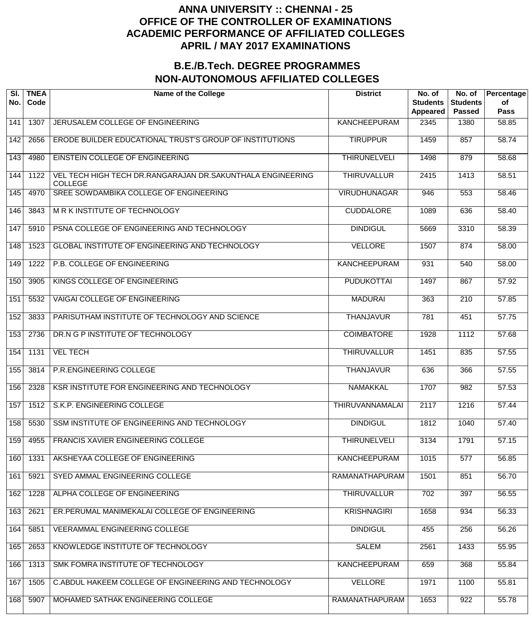| SI.<br>No. | <b>TNEA</b><br>Code | <b>Name of the College</b>                                                   | <b>District</b>        | No. of<br><b>Students</b><br>Appeared | No. of<br><b>Students</b><br><b>Passed</b> | Percentage<br>of<br><b>Pass</b> |
|------------|---------------------|------------------------------------------------------------------------------|------------------------|---------------------------------------|--------------------------------------------|---------------------------------|
| 141        | 1307                | JERUSALEM COLLEGE OF ENGINEERING                                             | <b>KANCHEEPURAM</b>    | 2345                                  | 1380                                       | 58.85                           |
| 142        | 2656                | ERODE BUILDER EDUCATIONAL TRUST'S GROUP OF INSTITUTIONS                      | <b>TIRUPPUR</b>        | 1459                                  | 857                                        | 58.74                           |
| 143        | 4980                | EINSTEIN COLLEGE OF ENGINEERING                                              | <b>THIRUNELVELI</b>    | 1498                                  | 879                                        | 58.68                           |
| 144        | 1122                | VEL TECH HIGH TECH DR.RANGARAJAN DR.SAKUNTHALA ENGINEERING<br><b>COLLEGE</b> | <b>THIRUVALLUR</b>     | 2415                                  | 1413                                       | 58.51                           |
| 145        | 4970                | SREE SOWDAMBIKA COLLEGE OF ENGINEERING                                       | <b>VIRUDHUNAGAR</b>    | 946                                   | 553                                        | 58.46                           |
| 146        | 3843                | M R K INSTITUTE OF TECHNOLOGY                                                | <b>CUDDALORE</b>       | 1089                                  | 636                                        | 58.40                           |
| 147        | 5910                | PSNA COLLEGE OF ENGINEERING AND TECHNOLOGY                                   | <b>DINDIGUL</b>        | 5669                                  | 3310                                       | 58.39                           |
| 148        | 1523                | <b>GLOBAL INSTITUTE OF ENGINEERING AND TECHNOLOGY</b>                        | <b>VELLORE</b>         | 1507                                  | 874                                        | 58.00                           |
| 149        | 1222                | P.B. COLLEGE OF ENGINEERING                                                  | <b>KANCHEEPURAM</b>    | 931                                   | 540                                        | $\frac{1}{58.00}$               |
| 150        | 3905                | KINGS COLLEGE OF ENGINEERING                                                 | <b>PUDUKOTTAI</b>      | 1497                                  | 867                                        | 57.92                           |
| 151        | 5532                | <b>VAIGAI COLLEGE OF ENGINEERING</b>                                         | <b>MADURAI</b>         | 363                                   | $\overline{210}$                           | 57.85                           |
| 152        | 3833                | PARISUTHAM INSTITUTE OF TECHNOLOGY AND SCIENCE                               | <b>THANJAVUR</b>       | 781                                   | 451                                        | 57.75                           |
| 153        | 2736                | DR.N G P INSTITUTE OF TECHNOLOGY                                             | <b>COIMBATORE</b>      | 1928                                  | 1112                                       | 57.68                           |
| 154        | 1131                | <b>VEL TECH</b>                                                              | <b>THIRUVALLUR</b>     | 1451                                  | 835                                        | 57.55                           |
| 155        | 3814                | P.R.ENGINEERING COLLEGE                                                      | <b>THANJAVUR</b>       | 636                                   | 366                                        | 57.55                           |
| 156        | 2328                | KSR INSTITUTE FOR ENGINEERING AND TECHNOLOGY                                 | <b>NAMAKKAL</b>        | 1707                                  | 982                                        | 57.53                           |
| 157        | 1512                | S.K.P. ENGINEERING COLLEGE                                                   | <b>THIRUVANNAMALAI</b> | 2117                                  | $\frac{1}{1216}$                           | 57.44                           |
| 158        | 5530                | SSM INSTITUTE OF ENGINEERING AND TECHNOLOGY                                  | <b>DINDIGUL</b>        | 1812                                  | 1040                                       | 57.40                           |
| 159        | 4955                | FRANCIS XAVIER ENGINEERING COLLEGE                                           | <b>THIRUNELVELI</b>    | 3134                                  | 1791                                       | 57.15                           |
| 160        | 1331                | AKSHEYAA COLLEGE OF ENGINEERING                                              | <b>KANCHEEPURAM</b>    | 1015                                  | 577                                        | 56.85                           |
| 161        | 5921                | SYED AMMAL ENGINEERING COLLEGE                                               | RAMANATHAPURAM         | 1501                                  | 851                                        | 56.70                           |
| 162        | 1228                | ALPHA COLLEGE OF ENGINEERING                                                 | <b>THIRUVALLUR</b>     | 702                                   | 397                                        | 56.55                           |
| 163        | 2621                | ER. PERUMAL MANIMEKALAI COLLEGE OF ENGINEERING                               | <b>KRISHNAGIRI</b>     | 1658                                  | 934                                        | 56.33                           |
| 164        | 5851                | <b>VEERAMMAL ENGINEERING COLLEGE</b>                                         | <b>DINDIGUL</b>        | 455                                   | 256                                        | 56.26                           |
| 165        | 2653                | KNOWLEDGE INSTITUTE OF TECHNOLOGY                                            | <b>SALEM</b>           | 2561                                  | 1433                                       | 55.95                           |
| 166        | 1313                | SMK FOMRA INSTITUTE OF TECHNOLOGY                                            | <b>KANCHEEPURAM</b>    | 659                                   | 368                                        | 55.84                           |
| 167        | 1505                | C.ABDUL HAKEEM COLLEGE OF ENGINEERING AND TECHNOLOGY                         | <b>VELLORE</b>         | 1971                                  | 1100                                       | 55.81                           |
| 168        | 5907                | MOHAMED SATHAK ENGINEERING COLLEGE                                           | RAMANATHAPURAM         | 1653                                  | 922                                        | 55.78                           |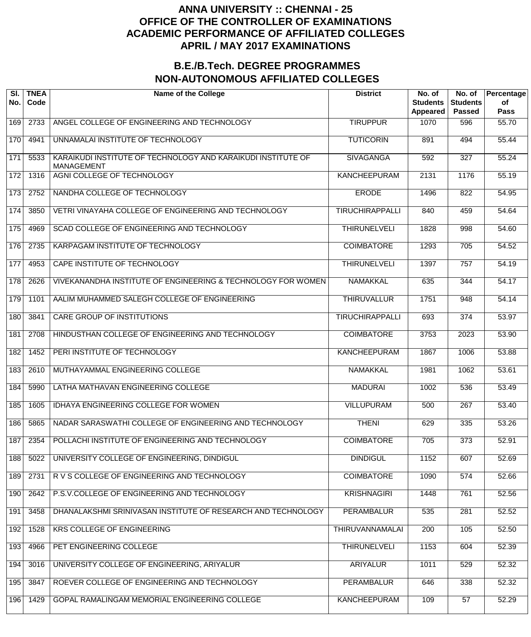| SI.<br>No. | <b>TNEA</b><br>Code | <b>Name of the College</b>                                                        | <b>District</b>        | No. of<br><b>Students</b><br><b>Appeared</b> | No. of<br><b>Students</b><br><b>Passed</b> | Percentage<br>of<br><b>Pass</b> |
|------------|---------------------|-----------------------------------------------------------------------------------|------------------------|----------------------------------------------|--------------------------------------------|---------------------------------|
| 169        | 2733                | ANGEL COLLEGE OF ENGINEERING AND TECHNOLOGY                                       | <b>TIRUPPUR</b>        | 1070                                         | 596                                        | 55.70                           |
| 170        | 4941                | UNNAMALAI INSTITUTE OF TECHNOLOGY                                                 | <b>TUTICORIN</b>       | 891                                          | 494                                        | 55.44                           |
| 171        | 5533                | KARAIKUDI INSTITUTE OF TECHNOLOGY AND KARAIKUDI INSTITUTE OF<br><b>MANAGEMENT</b> | <b>SIVAGANGA</b>       | 592                                          | $\overline{327}$                           | 55.24                           |
| 172        | 1316                | AGNI COLLEGE OF TECHNOLOGY                                                        | <b>KANCHEEPURAM</b>    | 2131                                         | 1176                                       | 55.19                           |
| 173        | 2752                | NANDHA COLLEGE OF TECHNOLOGY                                                      | <b>ERODE</b>           | 1496                                         | 822                                        | 54.95                           |
| 174        | 3850                | VETRI VINAYAHA COLLEGE OF ENGINEERING AND TECHNOLOGY                              | <b>TIRUCHIRAPPALLI</b> | 840                                          | 459                                        | 54.64                           |
| 175        | 4969                | SCAD COLLEGE OF ENGINEERING AND TECHNOLOGY                                        | <b>THIRUNELVELI</b>    | 1828                                         | 998                                        | 54.60                           |
| 176        | 2735                | KARPAGAM INSTITUTE OF TECHNOLOGY                                                  | <b>COIMBATORE</b>      | 1293                                         | $\overline{705}$                           | 54.52                           |
| 177        | 4953                | CAPE INSTITUTE OF TECHNOLOGY                                                      | <b>THIRUNELVELI</b>    | 1397                                         | 757                                        | 54.19                           |
| 178        | 2626                | VIVEKANANDHA INSTITUTE OF ENGINEERING & TECHNOLOGY FOR WOMEN                      | <b>NAMAKKAL</b>        | 635                                          | 344                                        | 54.17                           |
| 179        | 1101                | AALIM MUHAMMED SALEGH COLLEGE OF ENGINEERING                                      | <b>THIRUVALLUR</b>     | 1751                                         | 948                                        | 54.14                           |
| 180        | 3841                | <b>CARE GROUP OF INSTITUTIONS</b>                                                 | <b>TIRUCHIRAPPALLI</b> | 693                                          | 374                                        | 53.97                           |
| 181        | 2708                | HINDUSTHAN COLLEGE OF ENGINEERING AND TECHNOLOGY                                  | <b>COIMBATORE</b>      | 3753                                         | 2023                                       | 53.90                           |
| 182        | 1452                | PERI INSTITUTE OF TECHNOLOGY                                                      | <b>KANCHEEPURAM</b>    | 1867                                         | 1006                                       | 53.88                           |
| 183        | 2610                | MUTHAYAMMAL ENGINEERING COLLEGE                                                   | <b>NAMAKKAL</b>        | 1981                                         | 1062                                       | 53.61                           |
| 184        | 5990                | LATHA MATHAVAN ENGINEERING COLLEGE                                                | <b>MADURAI</b>         | 1002                                         | 536                                        | 53.49                           |
| 185        | 1605                | <b>IDHAYA ENGINEERING COLLEGE FOR WOMEN</b>                                       | <b>VILLUPURAM</b>      | 500                                          | $\overline{267}$                           | 53.40                           |
| 186        | 5865                | NADAR SARASWATHI COLLEGE OF ENGINEERING AND TECHNOLOGY                            | <b>THENI</b>           | 629                                          | 335                                        | 53.26                           |
| 187        | 2354                | POLLACHI INSTITUTE OF ENGINEERING AND TECHNOLOGY                                  | <b>COIMBATORE</b>      | 705                                          | $\overline{373}$                           | 52.91                           |
| 188        | 5022                | UNIVERSITY COLLEGE OF ENGINEERING, DINDIGUL                                       | <b>DINDIGUL</b>        | 1152                                         | 607                                        | 52.69                           |
| 189        | 2731                | R V S COLLEGE OF ENGINEERING AND TECHNOLOGY                                       | <b>COIMBATORE</b>      | 1090                                         | 574                                        | 52.66                           |
| 190        | 2642                | P.S.V.COLLEGE OF ENGINEERING AND TECHNOLOGY                                       | <b>KRISHNAGIRI</b>     | 1448                                         | 761                                        | 52.56                           |
| 191        | 3458                | DHANALAKSHMI SRINIVASAN INSTITUTE OF RESEARCH AND TECHNOLOGY                      | <b>PERAMBALUR</b>      | 535                                          | 281                                        | 52.52                           |
| 192        | 1528                | <b>KRS COLLEGE OF ENGINEERING</b>                                                 | THIRUVANNAMALAI        | 200                                          | 105                                        | 52.50                           |
| 193        | 4966                | PET ENGINEERING COLLEGE                                                           | <b>THIRUNELVELI</b>    | 1153                                         | 604                                        | 52.39                           |
| 194        | 3016                | UNIVERSITY COLLEGE OF ENGINEERING, ARIYALUR                                       | <b>ARIYALUR</b>        | 1011                                         | 529                                        | 52.32                           |
| 195        | 3847                | ROEVER COLLEGE OF ENGINEERING AND TECHNOLOGY                                      | <b>PERAMBALUR</b>      | 646                                          | 338                                        | 52.32                           |
| 196        | 1429                | GOPAL RAMALINGAM MEMORIAL ENGINEERING COLLEGE                                     | <b>KANCHEEPURAM</b>    | 109                                          | $\overline{57}$                            | 52.29                           |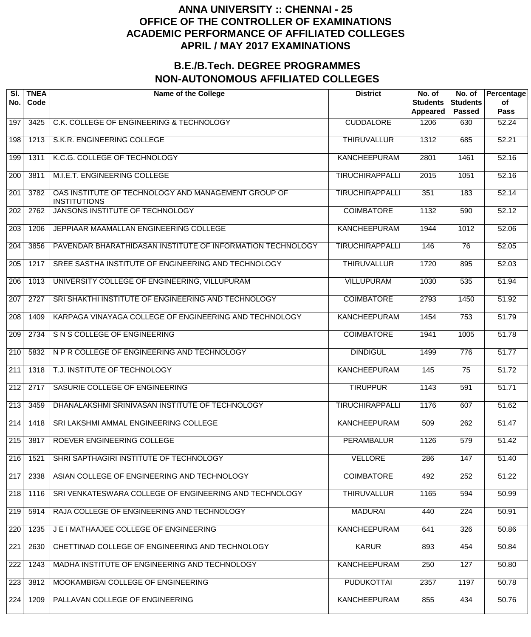| SI.<br>No.       | <b>TNEA</b><br>Code | <b>Name of the College</b>                                                 | <b>District</b>        | No. of<br><b>Students</b><br>Appeared | No. of<br><b>Students</b><br><b>Passed</b> | Percentage<br>of<br><b>Pass</b> |
|------------------|---------------------|----------------------------------------------------------------------------|------------------------|---------------------------------------|--------------------------------------------|---------------------------------|
| 197              | 3425                | C.K. COLLEGE OF ENGINEERING & TECHNOLOGY                                   | <b>CUDDALORE</b>       | 1206                                  | 630                                        | 52.24                           |
| 198              | 1213                | S.K.R. ENGINEERING COLLEGE                                                 | <b>THIRUVALLUR</b>     | 1312                                  | 685                                        | 52.21                           |
| 199              | 1311                | K.C.G. COLLEGE OF TECHNOLOGY                                               | <b>KANCHEEPURAM</b>    | 2801                                  | 1461                                       | 52.16                           |
| 200              | 3811                | M.I.E.T. ENGINEERING COLLEGE                                               | <b>TIRUCHIRAPPALLI</b> | 2015                                  | 1051                                       | 52.16                           |
| 201              | 3782                | OAS INSTITUTE OF TECHNOLOGY AND MANAGEMENT GROUP OF<br><b>INSTITUTIONS</b> | <b>TIRUCHIRAPPALLI</b> | 351                                   | 183                                        | 52.14                           |
| 202              | 2762                | JANSONS INSTITUTE OF TECHNOLOGY                                            | <b>COIMBATORE</b>      | 1132                                  | 590                                        | 52.12                           |
| $\overline{203}$ | 1206                | JEPPIAAR MAAMALLAN ENGINEERING COLLEGE                                     | <b>KANCHEEPURAM</b>    | 1944                                  | 1012                                       | 52.06                           |
| 204              | 3856                | PAVENDAR BHARATHIDASAN INSTITUTE OF INFORMATION TECHNOLOGY                 | <b>TIRUCHIRAPPALLI</b> | 146                                   | 76                                         | 52.05                           |
| $\overline{205}$ | 1217                | SREE SASTHA INSTITUTE OF ENGINEERING AND TECHNOLOGY                        | <b>THIRUVALLUR</b>     | 1720                                  | 895                                        | 52.03                           |
| $\overline{206}$ | 1013                | UNIVERSITY COLLEGE OF ENGINEERING, VILLUPURAM                              | <b>VILLUPURAM</b>      | 1030                                  | 535                                        | 51.94                           |
| 207              | 2727                | SRI SHAKTHI INSTITUTE OF ENGINEERING AND TECHNOLOGY                        | <b>COIMBATORE</b>      | 2793                                  | 1450                                       | 51.92                           |
| $\overline{208}$ | 1409                | KARPAGA VINAYAGA COLLEGE OF ENGINEERING AND TECHNOLOGY                     | <b>KANCHEEPURAM</b>    | 1454                                  | 753                                        | 51.79                           |
| $\overline{209}$ | 2734                | S N S COLLEGE OF ENGINEERING                                               | <b>COIMBATORE</b>      | 1941                                  | 1005                                       | 51.78                           |
| 210              | 5832                | N P R COLLEGE OF ENGINEERING AND TECHNOLOGY                                | <b>DINDIGUL</b>        | 1499                                  | $\overline{776}$                           | 51.77                           |
| $\overline{211}$ | 1318                | T.J. INSTITUTE OF TECHNOLOGY                                               | <b>KANCHEEPURAM</b>    | 145                                   | $\overline{75}$                            | 51.72                           |
| $\overline{212}$ | 2717                | SASURIE COLLEGE OF ENGINEERING                                             | <b>TIRUPPUR</b>        | 1143                                  | 591                                        | 51.71                           |
| $\overline{213}$ | 3459                | DHANALAKSHMI SRINIVASAN INSTITUTE OF TECHNOLOGY                            | <b>TIRUCHIRAPPALLI</b> | 1176                                  | 607                                        | 51.62                           |
| $\sqrt{214}$     | 1418                | SRI LAKSHMI AMMAL ENGINEERING COLLEGE                                      | <b>KANCHEEPURAM</b>    | 509                                   | 262                                        | 51.47                           |
| 215              | 3817                | ROEVER ENGINEERING COLLEGE                                                 | <b>PERAMBALUR</b>      | 1126                                  | 579                                        | 51.42                           |
| 216              | 1521                | SHRI SAPTHAGIRI INSTITUTE OF TECHNOLOGY                                    | <b>VELLORE</b>         | 286                                   | 147                                        | 51.40                           |
| 217              | 2338                | ASIAN COLLEGE OF ENGINEERING AND TECHNOLOGY                                | <b>COIMBATORE</b>      | 492                                   | 252                                        | 51.22                           |
| $\overline{218}$ | 1116                | SRI VENKATESWARA COLLEGE OF ENGINEERING AND TECHNOLOGY                     | <b>THIRUVALLUR</b>     | 1165                                  | 594                                        | 50.99                           |
| 219              | 5914                | RAJA COLLEGE OF ENGINEERING AND TECHNOLOGY                                 | <b>MADURAI</b>         | 440                                   | $\overline{224}$                           | 50.91                           |
| 220              | 1235                | J E I MATHAAJEE COLLEGE OF ENGINEERING                                     | <b>KANCHEEPURAM</b>    | 641                                   | 326                                        | 50.86                           |
| 221              | 2630                | CHETTINAD COLLEGE OF ENGINEERING AND TECHNOLOGY                            | <b>KARUR</b>           | 893                                   | 454                                        | 50.84                           |
| 222              | 1243                | MADHA INSTITUTE OF ENGINEERING AND TECHNOLOGY                              | <b>KANCHEEPURAM</b>    | 250                                   | 127                                        | 50.80                           |
| 223              | 3812                | MOOKAMBIGAI COLLEGE OF ENGINEERING                                         | <b>PUDUKOTTAI</b>      | 2357                                  | 1197                                       | 50.78                           |
| 224              | 1209                | PALLAVAN COLLEGE OF ENGINEERING                                            | <b>KANCHEEPURAM</b>    | 855                                   | 434                                        | 50.76                           |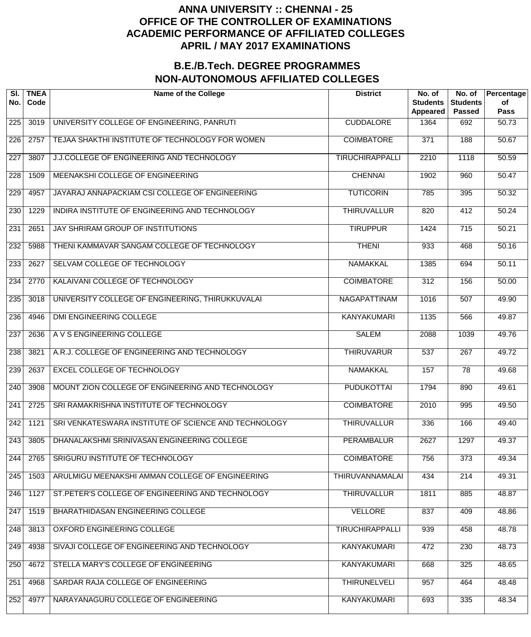| SI.<br>No.       | <b>TNEA</b><br>Code | <b>Name of the College</b>                           | <b>District</b>        | No. of<br><b>Students</b><br>Appeared | No. of<br><b>Students</b><br><b>Passed</b> | Percentage<br>of<br><b>Pass</b> |
|------------------|---------------------|------------------------------------------------------|------------------------|---------------------------------------|--------------------------------------------|---------------------------------|
| 225              | 3019                | UNIVERSITY COLLEGE OF ENGINEERING, PANRUTI           | <b>CUDDALORE</b>       | 1364                                  | 692                                        | 50.73                           |
| 226              | 2757                | TEJAA SHAKTHI INSTITUTE OF TECHNOLOGY FOR WOMEN      | <b>COIMBATORE</b>      | $\overline{371}$                      | 188                                        | 50.67                           |
| $\overline{227}$ | 3807                | J.J.COLLEGE OF ENGINEERING AND TECHNOLOGY            | <b>TIRUCHIRAPPALLI</b> | 2210                                  | 1118                                       | 50.59                           |
| 228              | 1509                | MEENAKSHI COLLEGE OF ENGINEERING                     | <b>CHENNAI</b>         | 1902                                  | 960                                        | 50.47                           |
| 229              | 4957                | JAYARAJ ANNAPACKIAM CSI COLLEGE OF ENGINEERING       | <b>TUTICORIN</b>       | 785                                   | 395                                        | 50.32                           |
| 230              | 1229                | INDIRA INSTITUTE OF ENGINEERING AND TECHNOLOGY       | <b>THIRUVALLUR</b>     | 820                                   | 412                                        | 50.24                           |
| $\overline{231}$ | 2651                | JAY SHRIRAM GROUP OF INSTITUTIONS                    | <b>TIRUPPUR</b>        | 1424                                  | $\overline{715}$                           | 50.21                           |
| 232              | 5988                | THENI KAMMAVAR SANGAM COLLEGE OF TECHNOLOGY          | <b>THENI</b>           | 933                                   | 468                                        | 50.16                           |
| 233              | 2627                | SELVAM COLLEGE OF TECHNOLOGY                         | <b>NAMAKKAL</b>        | 1385                                  | 694                                        | 50.11                           |
| $\overline{234}$ | 2770                | KALAIVANI COLLEGE OF TECHNOLOGY                      | <b>COIMBATORE</b>      | $\overline{312}$                      | 156                                        | 50.00                           |
| 235              | 3018                | UNIVERSITY COLLEGE OF ENGINEERING, THIRUKKUVALAI     | <b>NAGAPATTINAM</b>    | 1016                                  | $\overline{507}$                           | 49.90                           |
| 236              | 4946                | <b>DMI ENGINEERING COLLEGE</b>                       | <b>KANYAKUMARI</b>     | 1135                                  | 566                                        | 49.87                           |
| $\overline{237}$ | 2636                | A V S ENGINEERING COLLEGE                            | <b>SALEM</b>           | 2088                                  | 1039                                       | 49.76                           |
| 238              | 3821                | A.R.J. COLLEGE OF ENGINEERING AND TECHNOLOGY         | <b>THIRUVARUR</b>      | 537                                   | $\overline{267}$                           | 49.72                           |
| 239              | 2637                | <b>EXCEL COLLEGE OF TECHNOLOGY</b>                   | <b>NAMAKKAL</b>        | 157                                   | $\overline{78}$                            | 49.68                           |
| 240              | 3908                | MOUNT ZION COLLEGE OF ENGINEERING AND TECHNOLOGY     | <b>PUDUKOTTAI</b>      | 1794                                  | 890                                        | 49.61                           |
| 241              | 2725                | SRI RAMAKRISHNA INSTITUTE OF TECHNOLOGY              | <b>COIMBATORE</b>      | 2010                                  | 995                                        | 49.50                           |
| 242              | 1121                | SRI VENKATESWARA INSTITUTE OF SCIENCE AND TECHNOLOGY | <b>THIRUVALLUR</b>     | 336                                   | 166                                        | 49.40                           |
| 243              | 3805                | DHANALAKSHMI SRINIVASAN ENGINEERING COLLEGE          | <b>PERAMBALUR</b>      | 2627                                  | 1297                                       | 49.37                           |
| 244              | 2765                | SRIGURU INSTITUTE OF TECHNOLOGY                      | <b>COIMBATORE</b>      | 756                                   | $\overline{373}$                           | 49.34                           |
| 245              | 1503                | ARULMIGU MEENAKSHI AMMAN COLLEGE OF ENGINEERING      | <b>THIRUVANNAMALAI</b> | 434                                   | 214                                        | 49.31                           |
| 246              | 1127                | ST. PETER'S COLLEGE OF ENGINEERING AND TECHNOLOGY    | <b>THIRUVALLUR</b>     | 1811                                  | 885                                        | 48.87                           |
| 247              | 1519                | BHARATHIDASAN ENGINEERING COLLEGE                    | <b>VELLORE</b>         | 837                                   | 409                                        | 48.86                           |
| 248              | 3813                | OXFORD ENGINEERING COLLEGE                           | <b>TIRUCHIRAPPALLI</b> | 939                                   | 458                                        | 48.78                           |
| 249              | 4938                | SIVAJI COLLEGE OF ENGINEERING AND TECHNOLOGY         | <b>KANYAKUMARI</b>     | 472                                   | 230                                        | 48.73                           |
| 250              | 4672                | STELLA MARY'S COLLEGE OF ENGINEERING                 | <b>KANYAKUMARI</b>     | 668                                   | 325                                        | 48.65                           |
| 251              | 4968                | SARDAR RAJA COLLEGE OF ENGINEERING                   | <b>THIRUNELVELI</b>    | 957                                   | 464                                        | 48.48                           |
| 252              | 4977                | NARAYANAGURU COLLEGE OF ENGINEERING                  | <b>KANYAKUMARI</b>     | 693                                   | 335                                        | 48.34                           |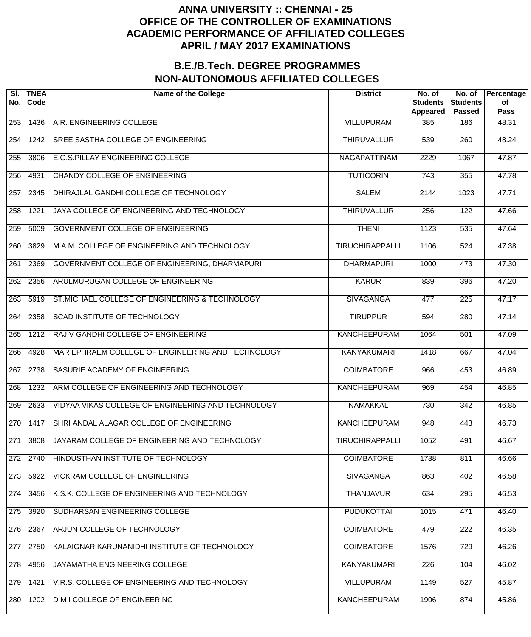| SI.<br>No.       | <b>TNEA</b><br>Code | <b>Name of the College</b>                         | <b>District</b>        | No. of<br><b>Students</b><br>Appeared | No. of<br><b>Students</b><br><b>Passed</b> | Percentage<br>of<br><b>Pass</b> |
|------------------|---------------------|----------------------------------------------------|------------------------|---------------------------------------|--------------------------------------------|---------------------------------|
| 253              | 1436                | A.R. ENGINEERING COLLEGE                           | <b>VILLUPURAM</b>      | 385                                   | 186                                        | 48.31                           |
| 254              | 1242                | SREE SASTHA COLLEGE OF ENGINEERING                 | <b>THIRUVALLUR</b>     | 539                                   | 260                                        | 48.24                           |
| 255              | 3806                | E.G.S.PILLAY ENGINEERING COLLEGE                   | <b>NAGAPATTINAM</b>    | 2229                                  | 1067                                       | 47.87                           |
| 256              | 4931                | <b>CHANDY COLLEGE OF ENGINEERING</b>               | <b>TUTICORIN</b>       | $\overline{743}$                      | 355                                        | 47.78                           |
| 257              | 2345                | DHIRAJLAL GANDHI COLLEGE OF TECHNOLOGY             | <b>SALEM</b>           | 2144                                  | 1023                                       | 47.71                           |
| 258              | 1221                | JAYA COLLEGE OF ENGINEERING AND TECHNOLOGY         | <b>THIRUVALLUR</b>     | 256                                   | $\overline{122}$                           | 47.66                           |
| 259              | 5009                | GOVERNMENT COLLEGE OF ENGINEERING                  | <b>THENI</b>           | 1123                                  | 535                                        | 47.64                           |
| 260              | 3829                | M.A.M. COLLEGE OF ENGINEERING AND TECHNOLOGY       | <b>TIRUCHIRAPPALLI</b> | 1106                                  | 524                                        | 47.38                           |
| $\overline{261}$ | 2369                | GOVERNMENT COLLEGE OF ENGINEERING, DHARMAPURI      | <b>DHARMAPURI</b>      | 1000                                  | 473                                        | 47.30                           |
| 262              | 2356                | ARULMURUGAN COLLEGE OF ENGINEERING                 | <b>KARUR</b>           | 839                                   | 396                                        | 47.20                           |
| 263              | 5919                | ST. MICHAEL COLLEGE OF ENGINEERING & TECHNOLOGY    | <b>SIVAGANGA</b>       | 477                                   | 225                                        | 47.17                           |
| 264              | 2358                | SCAD INSTITUTE OF TECHNOLOGY                       | <b>TIRUPPUR</b>        | 594                                   | 280                                        | 47.14                           |
| 265              | 1212                | RAJIV GANDHI COLLEGE OF ENGINEERING                | <b>KANCHEEPURAM</b>    | 1064                                  | 501                                        | 47.09                           |
| 266              | 4928                | MAR EPHRAEM COLLEGE OF ENGINEERING AND TECHNOLOGY  | <b>KANYAKUMARI</b>     | 1418                                  | 667                                        | 47.04                           |
| 267              | 2738                | SASURIE ACADEMY OF ENGINEERING                     | <b>COIMBATORE</b>      | 966                                   | 453                                        | 46.89                           |
| 268              | 1232                | ARM COLLEGE OF ENGINEERING AND TECHNOLOGY          | <b>KANCHEEPURAM</b>    | 969                                   | 454                                        | 46.85                           |
| 269              | 2633                | VIDYAA VIKAS COLLEGE OF ENGINEERING AND TECHNOLOGY | <b>NAMAKKAL</b>        | 730                                   | 342                                        | 46.85                           |
| 270              | 1417                | SHRI ANDAL ALAGAR COLLEGE OF ENGINEERING           | <b>KANCHEEPURAM</b>    | 948                                   | 443                                        | 46.73                           |
| 271              | 3808                | JAYARAM COLLEGE OF ENGINEERING AND TECHNOLOGY      | <b>TIRUCHIRAPPALLI</b> | 1052                                  | 491                                        | 46.67                           |
| 272              | 2740                | HINDUSTHAN INSTITUTE OF TECHNOLOGY                 | <b>COIMBATORE</b>      | 1738                                  | 811                                        | 46.66                           |
| 273              | 5922                | <b>VICKRAM COLLEGE OF ENGINEERING</b>              | <b>SIVAGANGA</b>       | 863                                   | 402                                        | 46.58                           |
| 274              | 3456                | K.S.K. COLLEGE OF ENGINEERING AND TECHNOLOGY       | <b>THANJAVUR</b>       | 634                                   | 295                                        | 46.53                           |
| 275              | 3920                | SUDHARSAN ENGINEERING COLLEGE                      | <b>PUDUKOTTAI</b>      | 1015                                  | 471                                        | 46.40                           |
| 276              | 2367                | ARJUN COLLEGE OF TECHNOLOGY                        | <b>COIMBATORE</b>      | 479                                   | $\overline{222}$                           | 46.35                           |
| 277              | 2750                | KALAIGNAR KARUNANIDHI INSTITUTE OF TECHNOLOGY      | <b>COIMBATORE</b>      | 1576                                  | 729                                        | 46.26                           |
| 278              | 4956                | JAYAMATHA ENGINEERING COLLEGE                      | <b>KANYAKUMARI</b>     | 226                                   | 104                                        | 46.02                           |
| 279              | 1421                | V.R.S. COLLEGE OF ENGINEERING AND TECHNOLOGY       | <b>VILLUPURAM</b>      | 1149                                  | 527                                        | 45.87                           |
| 280              | 1202                | <b>D M I COLLEGE OF ENGINEERING</b>                | <b>KANCHEEPURAM</b>    | 1906                                  | 874                                        | 45.86                           |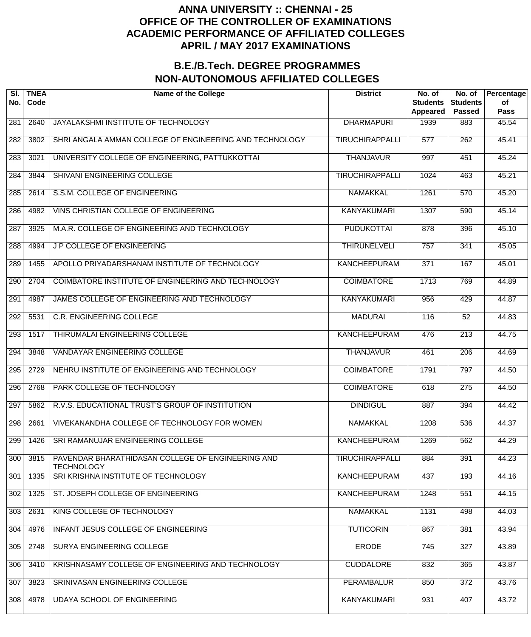| SI.<br>No.       | <b>TNEA</b><br>Code | <b>Name of the College</b>                                             | <b>District</b>        | No. of<br><b>Students</b><br><b>Appeared</b> | No. of<br><b>Students</b><br><b>Passed</b> | Percentage<br>of<br><b>Pass</b> |
|------------------|---------------------|------------------------------------------------------------------------|------------------------|----------------------------------------------|--------------------------------------------|---------------------------------|
| 281              | 2640                | JAYALAKSHMI INSTITUTE OF TECHNOLOGY                                    | <b>DHARMAPURI</b>      | 1939                                         | 883                                        | 45.54                           |
| 282              | 3802                | SHRI ANGALA AMMAN COLLEGE OF ENGINEERING AND TECHNOLOGY                | <b>TIRUCHIRAPPALLI</b> | $\overline{577}$                             | $\overline{262}$                           | 45.41                           |
| $\overline{283}$ | 3021                | UNIVERSITY COLLEGE OF ENGINEERING, PATTUKKOTTAI                        | <b>THANJAVUR</b>       | 997                                          | 451                                        | 45.24                           |
| 284              | 3844                | SHIVANI ENGINEERING COLLEGE                                            | <b>TIRUCHIRAPPALLI</b> | 1024                                         | 463                                        | 45.21                           |
| 285              | 2614                | S.S.M. COLLEGE OF ENGINEERING                                          | <b>NAMAKKAL</b>        | 1261                                         | 570                                        | 45.20                           |
| 286              | 4982                | VINS CHRISTIAN COLLEGE OF ENGINEERING                                  | <b>KANYAKUMARI</b>     | 1307                                         | 590                                        | 45.14                           |
| 287              | 3925                | M.A.R. COLLEGE OF ENGINEERING AND TECHNOLOGY                           | <b>PUDUKOTTAI</b>      | 878                                          | 396                                        | 45.10                           |
| 288              | 4994                | J P COLLEGE OF ENGINEERING                                             | <b>THIRUNELVELI</b>    | 757                                          | 341                                        | 45.05                           |
| 289              | 1455                | APOLLO PRIYADARSHANAM INSTITUTE OF TECHNOLOGY                          | <b>KANCHEEPURAM</b>    | $\overline{371}$                             | 167                                        | 45.01                           |
| 290              | 2704                | COIMBATORE INSTITUTE OF ENGINEERING AND TECHNOLOGY                     | <b>COIMBATORE</b>      | 1713                                         | 769                                        | 44.89                           |
| 291              | 4987                | JAMES COLLEGE OF ENGINEERING AND TECHNOLOGY                            | <b>KANYAKUMARI</b>     | 956                                          | 429                                        | 44.87                           |
| 292              | 5531                | <b>C.R. ENGINEERING COLLEGE</b>                                        | <b>MADURAI</b>         | 116                                          | $\overline{52}$                            | 44.83                           |
| 293              | 1517                | THIRUMALAI ENGINEERING COLLEGE                                         | <b>KANCHEEPURAM</b>    | 476                                          | $\overline{213}$                           | 44.75                           |
| 294              | 3848                | <b>VANDAYAR ENGINEERING COLLEGE</b>                                    | <b>THANJAVUR</b>       | 461                                          | $\overline{206}$                           | 44.69                           |
| 295              | 2729                | NEHRU INSTITUTE OF ENGINEERING AND TECHNOLOGY                          | <b>COIMBATORE</b>      | 1791                                         | 797                                        | 44.50                           |
| 296              | 2768                | PARK COLLEGE OF TECHNOLOGY                                             | <b>COIMBATORE</b>      | 618                                          | $\overline{275}$                           | 44.50                           |
| 297              | 5862                | R.V.S. EDUCATIONAL TRUST'S GROUP OF INSTITUTION                        | <b>DINDIGUL</b>        | 887                                          | 394                                        | 44.42                           |
| 298              | 2661                | <b>VIVEKANANDHA COLLEGE OF TECHNOLOGY FOR WOMEN</b>                    | <b>NAMAKKAL</b>        | 1208                                         | 536                                        | 44.37                           |
| 299              | 1426                | SRI RAMANUJAR ENGINEERING COLLEGE                                      | <b>KANCHEEPURAM</b>    | 1269                                         | 562                                        | 44.29                           |
| 300              | 3815                | PAVENDAR BHARATHIDASAN COLLEGE OF ENGINEERING AND<br><b>TECHNOLOGY</b> | <b>TIRUCHIRAPPALLI</b> | 884                                          | 391                                        | 44.23                           |
| 301              | 1335                | SRI KRISHNA INSTITUTE OF TECHNOLOGY                                    | <b>KANCHEEPURAM</b>    | 437                                          | 193                                        | 44.16                           |
| 302              | 1325                | ST. JOSEPH COLLEGE OF ENGINEERING                                      | <b>KANCHEEPURAM</b>    | 1248                                         | 551                                        | 44.15                           |
| 303              | 2631                | KING COLLEGE OF TECHNOLOGY                                             | <b>NAMAKKAL</b>        | 1131                                         | 498                                        | 44.03                           |
| 304              | 4976                | INFANT JESUS COLLEGE OF ENGINEERING                                    | <b>TUTICORIN</b>       | 867                                          | 381                                        | 43.94                           |
| 305              | 2748                | SURYA ENGINEERING COLLEGE                                              | <b>ERODE</b>           | 745                                          | 327                                        | 43.89                           |
| 306              | 3410                | KRISHNASAMY COLLEGE OF ENGINEERING AND TECHNOLOGY                      | <b>CUDDALORE</b>       | 832                                          | 365                                        | 43.87                           |
| 307              | 3823                | SRINIVASAN ENGINEERING COLLEGE                                         | <b>PERAMBALUR</b>      | 850                                          | $\overline{372}$                           | 43.76                           |
| 308              | 4978                | <b>UDAYA SCHOOL OF ENGINEERING</b>                                     | <b>KANYAKUMARI</b>     | 931                                          | 407                                        | 43.72                           |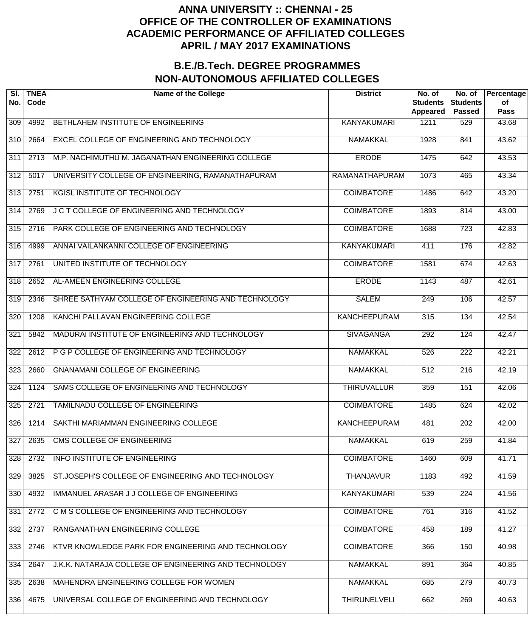| SI.<br>No.       | <b>TNEA</b><br>Code | <b>Name of the College</b>                            | <b>District</b>       | No. of<br><b>Students</b><br><b>Appeared</b> | No. of<br><b>Students</b><br><b>Passed</b> | Percentage<br>of<br><b>Pass</b> |
|------------------|---------------------|-------------------------------------------------------|-----------------------|----------------------------------------------|--------------------------------------------|---------------------------------|
| 309              | 4992                | BETHLAHEM INSTITUTE OF ENGINEERING                    | <b>KANYAKUMARI</b>    | 1211                                         | 529                                        | 43.68                           |
| $\overline{310}$ | 2664                | EXCEL COLLEGE OF ENGINEERING AND TECHNOLOGY           | <b>NAMAKKAL</b>       | 1928                                         | 841                                        | 43.62                           |
| $\overline{311}$ | 2713                | M.P. NACHIMUTHU M. JAGANATHAN ENGINEERING COLLEGE     | <b>ERODE</b>          | 1475                                         | 642                                        | 43.53                           |
| $\overline{312}$ | 5017                | UNIVERSITY COLLEGE OF ENGINEERING, RAMANATHAPURAM     | <b>RAMANATHAPURAM</b> | 1073                                         | 465                                        | 43.34                           |
| $\overline{313}$ | 2751                | <b>KGISL INSTITUTE OF TECHNOLOGY</b>                  | <b>COIMBATORE</b>     | 1486                                         | 642                                        | 43.20                           |
| $\overline{314}$ | 2769                | J C T COLLEGE OF ENGINEERING AND TECHNOLOGY           | <b>COIMBATORE</b>     | 1893                                         | 814                                        | 43.00                           |
| 315              | 2716                | PARK COLLEGE OF ENGINEERING AND TECHNOLOGY            | <b>COIMBATORE</b>     | 1688                                         | $\overline{723}$                           | 42.83                           |
| 316              | 4999                | ANNAI VAILANKANNI COLLEGE OF ENGINEERING              | <b>KANYAKUMARI</b>    | 411                                          | 176                                        | 42.82                           |
| $\overline{317}$ | 2761                | UNITED INSTITUTE OF TECHNOLOGY                        | <b>COIMBATORE</b>     | 1581                                         | 674                                        | 42.63                           |
| 318              | 2652                | AL-AMEEN ENGINEERING COLLEGE                          | <b>ERODE</b>          | 1143                                         | 487                                        | 42.61                           |
| 319              | 2346                | SHREE SATHYAM COLLEGE OF ENGINEERING AND TECHNOLOGY   | <b>SALEM</b>          | $\overline{249}$                             | 106                                        | 42.57                           |
| $\overline{320}$ | 1208                | KANCHI PALLAVAN ENGINEERING COLLEGE                   | <b>KANCHEEPURAM</b>   | 315                                          | 134                                        | 42.54                           |
| 321              | 5842                | MADURAI INSTITUTE OF ENGINEERING AND TECHNOLOGY       | <b>SIVAGANGA</b>      | 292                                          | 124                                        | 42.47                           |
| $\overline{322}$ | 2612                | P G P COLLEGE OF ENGINEERING AND TECHNOLOGY           | <b>NAMAKKAL</b>       | 526                                          | $\overline{222}$                           | 42.21                           |
| 323              | 2660                | <b>GNANAMANI COLLEGE OF ENGINEERING</b>               | <b>NAMAKKAL</b>       | $\overline{512}$                             | $\overline{216}$                           | 42.19                           |
| 324              | 1124                | SAMS COLLEGE OF ENGINEERING AND TECHNOLOGY            | <b>THIRUVALLUR</b>    | 359                                          | 151                                        | 42.06                           |
| 325              | 2721                | TAMILNADU COLLEGE OF ENGINEERING                      | <b>COIMBATORE</b>     | 1485                                         | 624                                        | 42.02                           |
| 326              | 1214                | SAKTHI MARIAMMAN ENGINEERING COLLEGE                  | <b>KANCHEEPURAM</b>   | 481                                          | $\overline{202}$                           | 42.00                           |
| 327              | 2635                | <b>CMS COLLEGE OF ENGINEERING</b>                     | <b>NAMAKKAL</b>       | 619                                          | 259                                        | 41.84                           |
| 328              | 2732                | <b>INFO INSTITUTE OF ENGINEERING</b>                  | <b>COIMBATORE</b>     | 1460                                         | 609                                        | 41.71                           |
| 329              | 3825                | ST.JOSEPH'S COLLEGE OF ENGINEERING AND TECHNOLOGY     | <b>THANJAVUR</b>      | 1183                                         | 492                                        | 41.59                           |
| 330              | 4932                | IMMANUEL ARASAR J J COLLEGE OF ENGINEERING            | <b>KANYAKUMARI</b>    | 539                                          | $\overline{224}$                           | 41.56                           |
| 331              | 2772                | C M S COLLEGE OF ENGINEERING AND TECHNOLOGY           | <b>COIMBATORE</b>     | 761                                          | 316                                        | 41.52                           |
| 332              | 2737                | RANGANATHAN ENGINEERING COLLEGE                       | <b>COIMBATORE</b>     | 458                                          | 189                                        | 41.27                           |
| 333              | 2746                | KTVR KNOWLEDGE PARK FOR ENGINEERING AND TECHNOLOGY    | <b>COIMBATORE</b>     | 366                                          | 150                                        | 40.98                           |
| 334              | 2647                | J.K.K. NATARAJA COLLEGE OF ENGINEERING AND TECHNOLOGY | <b>NAMAKKAL</b>       | 891                                          | 364                                        | 40.85                           |
| 335              | 2638                | MAHENDRA ENGINEERING COLLEGE FOR WOMEN                | <b>NAMAKKAL</b>       | 685                                          | 279                                        | 40.73                           |
| 336              | 4675                | UNIVERSAL COLLEGE OF ENGINEERING AND TECHNOLOGY       | <b>THIRUNELVELI</b>   | 662                                          | 269                                        | 40.63                           |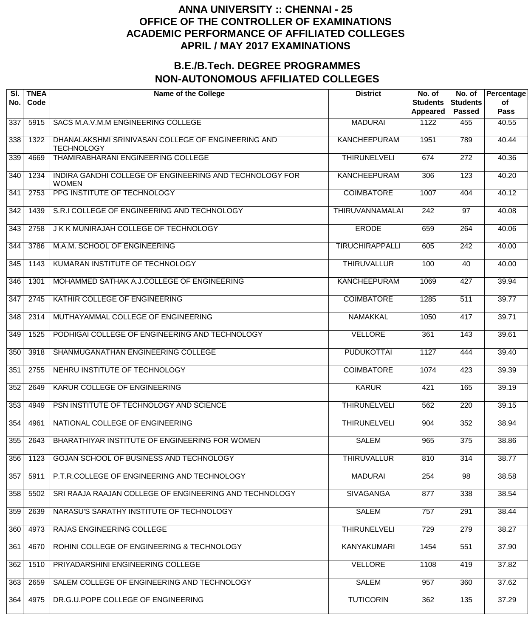| SI.<br>No. | <b>TNEA</b><br>Code | <b>Name of the College</b>                                              | <b>District</b>        | No. of<br><b>Students</b><br>Appeared | No. of<br><b>Students</b><br><b>Passed</b> | Percentage<br>of<br><b>Pass</b> |
|------------|---------------------|-------------------------------------------------------------------------|------------------------|---------------------------------------|--------------------------------------------|---------------------------------|
| 337        | 5915                | SACS M.A.V.M.M ENGINEERING COLLEGE                                      | <b>MADURAI</b>         | 1122                                  | 455                                        | 40.55                           |
| 338        | 1322                | DHANALAKSHMI SRINIVASAN COLLEGE OF ENGINEERING AND<br><b>TECHNOLOGY</b> | <b>KANCHEEPURAM</b>    | 1951                                  | 789                                        | 40.44                           |
| 339        | 4669                | THAMIRABHARANI ENGINEERING COLLEGE                                      | <b>THIRUNELVELI</b>    | 674                                   | $\overline{272}$                           | 40.36                           |
| 340        | 1234                | INDIRA GANDHI COLLEGE OF ENGINEERING AND TECHNOLOGY FOR<br><b>WOMEN</b> | <b>KANCHEEPURAM</b>    | 306                                   | $\overline{123}$                           | 40.20                           |
| 341        | 2753                | PPG INSTITUTE OF TECHNOLOGY                                             | <b>COIMBATORE</b>      | 1007                                  | 404                                        | 40.12                           |
| 342        | 1439                | S.R.I COLLEGE OF ENGINEERING AND TECHNOLOGY                             | <b>THIRUVANNAMALAI</b> | 242                                   | 97                                         | 40.08                           |
| 343        | 2758                | J K K MUNIRAJAH COLLEGE OF TECHNOLOGY                                   | <b>ERODE</b>           | 659                                   | $\overline{264}$                           | 40.06                           |
| 344        | 3786                | M.A.M. SCHOOL OF ENGINEERING                                            | <b>TIRUCHIRAPPALLI</b> | 605                                   | 242                                        | 40.00                           |
| 345        | 1143                | KUMARAN INSTITUTE OF TECHNOLOGY                                         | <b>THIRUVALLUR</b>     | 100                                   | 40                                         | 40.00                           |
| 346        | 1301                | MOHAMMED SATHAK A.J.COLLEGE OF ENGINEERING                              | <b>KANCHEEPURAM</b>    | 1069                                  | 427                                        | 39.94                           |
| 347        | 2745                | KATHIR COLLEGE OF ENGINEERING                                           | <b>COIMBATORE</b>      | 1285                                  | $\overline{511}$                           | 39.77                           |
| 348        | 2314                | MUTHAYAMMAL COLLEGE OF ENGINEERING                                      | <b>NAMAKKAL</b>        | 1050                                  | 417                                        | 39.71                           |
| 349        | 1525                | PODHIGAI COLLEGE OF ENGINEERING AND TECHNOLOGY                          | <b>VELLORE</b>         | 361                                   | 143                                        | 39.61                           |
| 350        | 3918                | SHANMUGANATHAN ENGINEERING COLLEGE                                      | <b>PUDUKOTTAI</b>      | 1127                                  | 444                                        | 39.40                           |
| 351        | 2755                | NEHRU INSTITUTE OF TECHNOLOGY                                           | <b>COIMBATORE</b>      | 1074                                  | 423                                        | 39.39                           |
| 352        | 2649                | KARUR COLLEGE OF ENGINEERING                                            | <b>KARUR</b>           | 421                                   | 165                                        | 39.19                           |
| 353        | 4949                | PSN INSTITUTE OF TECHNOLOGY AND SCIENCE                                 | <b>THIRUNELVELI</b>    | 562                                   | $\overline{220}$                           | 39.15                           |
| 354        | 4961                | NATIONAL COLLEGE OF ENGINEERING                                         | <b>THIRUNELVELI</b>    | 904                                   | 352                                        | 38.94                           |
| 355        | 2643                | BHARATHIYAR INSTITUTE OF ENGINEERING FOR WOMEN                          | <b>SALEM</b>           | 965                                   | 375                                        | 38.86                           |
| 356        | 1123                | GOJAN SCHOOL OF BUSINESS AND TECHNOLOGY                                 | <b>THIRUVALLUR</b>     | 810                                   | $\overline{314}$                           | 38.77                           |
| 357        | 5911                | P.T.R.COLLEGE OF ENGINEERING AND TECHNOLOGY                             | <b>MADURAI</b>         | 254                                   | $\overline{98}$                            | 38.58                           |
| 358        | 5502                | SRI RAAJA RAAJAN COLLEGE OF ENGINEERING AND TECHNOLOGY                  | <b>SIVAGANGA</b>       | 877                                   | 338                                        | 38.54                           |
| 359        | 2639                | NARASU'S SARATHY INSTITUTE OF TECHNOLOGY                                | <b>SALEM</b>           | 757                                   | 291                                        | 38.44                           |
| 360        | 4973                | RAJAS ENGINEERING COLLEGE                                               | <b>THIRUNELVELI</b>    | 729                                   | 279                                        | 38.27                           |
| 361        | 4670                | ROHINI COLLEGE OF ENGINEERING & TECHNOLOGY                              | <b>KANYAKUMARI</b>     | 1454                                  | 551                                        | 37.90                           |
| 362        | 1510                | PRIYADARSHINI ENGINEERING COLLEGE                                       | <b>VELLORE</b>         | 1108                                  | 419                                        | 37.82                           |
| 363        | 2659                | SALEM COLLEGE OF ENGINEERING AND TECHNOLOGY                             | <b>SALEM</b>           | 957                                   | 360                                        | 37.62                           |
| 364        | 4975                | DR.G.U.POPE COLLEGE OF ENGINEERING                                      | <b>TUTICORIN</b>       | 362                                   | $\overline{135}$                           | 37.29                           |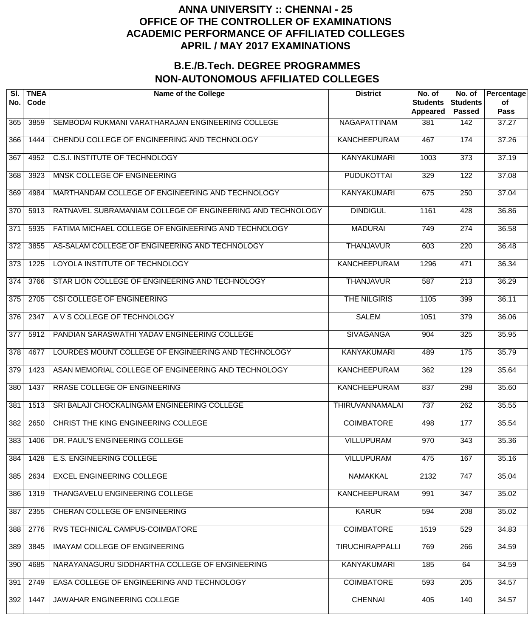| SI.<br>No.       | <b>TNEA</b><br>Code | <b>Name of the College</b>                                 | <b>District</b>        | No. of<br><b>Students</b><br>Appeared | No. of<br><b>Students</b><br><b>Passed</b> | Percentage<br>of<br>Pass |
|------------------|---------------------|------------------------------------------------------------|------------------------|---------------------------------------|--------------------------------------------|--------------------------|
| 365              | 3859                | SEMBODAI RUKMANI VARATHARAJAN ENGINEERING COLLEGE          | <b>NAGAPATTINAM</b>    | 381                                   | 142                                        | 37.27                    |
| 366              | 1444                | CHENDU COLLEGE OF ENGINEERING AND TECHNOLOGY               | <b>KANCHEEPURAM</b>    | 467                                   | 174                                        | 37.26                    |
| $\overline{367}$ | 4952                | <b>C.S.I. INSTITUTE OF TECHNOLOGY</b>                      | <b>KANYAKUMARI</b>     | 1003                                  | $\overline{373}$                           | 37.19                    |
| 368              | 3923                | MNSK COLLEGE OF ENGINEERING                                | <b>PUDUKOTTAI</b>      | 329                                   | $\overline{122}$                           | 37.08                    |
| 369              | 4984                | MARTHANDAM COLLEGE OF ENGINEERING AND TECHNOLOGY           | <b>KANYAKUMARI</b>     | 675                                   | $\overline{250}$                           | 37.04                    |
| 370              | 5913                | RATNAVEL SUBRAMANIAM COLLEGE OF ENGINEERING AND TECHNOLOGY | <b>DINDIGUL</b>        | 1161                                  | 428                                        | 36.86                    |
| 371              | 5935                | FATIMA MICHAEL COLLEGE OF ENGINEERING AND TECHNOLOGY       | <b>MADURAI</b>         | 749                                   | $\overline{274}$                           | 36.58                    |
| 372              | 3855                | AS-SALAM COLLEGE OF ENGINEERING AND TECHNOLOGY             | <b>THANJAVUR</b>       | 603                                   | $\overline{220}$                           | 36.48                    |
| $\overline{373}$ | 1225                | LOYOLA INSTITUTE OF TECHNOLOGY                             | <b>KANCHEEPURAM</b>    | 1296                                  | 471                                        | 36.34                    |
| $\overline{374}$ | 3766                | STAR LION COLLEGE OF ENGINEERING AND TECHNOLOGY            | <b>THANJAVUR</b>       | 587                                   | $\overline{213}$                           | 36.29                    |
| $\overline{375}$ | 2705                | CSI COLLEGE OF ENGINEERING                                 | <b>THE NILGIRIS</b>    | 1105                                  | 399                                        | 36.11                    |
| $\overline{376}$ | 2347                | A V S COLLEGE OF TECHNOLOGY                                | <b>SALEM</b>           | 1051                                  | $\overline{379}$                           | 36.06                    |
| 377              | 5912                | PANDIAN SARASWATHI YADAV ENGINEERING COLLEGE               | <b>SIVAGANGA</b>       | 904                                   | 325                                        | 35.95                    |
| $\overline{378}$ | 4677                | LOURDES MOUNT COLLEGE OF ENGINEERING AND TECHNOLOGY        | <b>KANYAKUMARI</b>     | 489                                   | 175                                        | 35.79                    |
| $\overline{379}$ | 1423                | ASAN MEMORIAL COLLEGE OF ENGINEERING AND TECHNOLOGY        | <b>KANCHEEPURAM</b>    | 362                                   | 129                                        | 35.64                    |
| 380              | 1437                | <b>RRASE COLLEGE OF ENGINEERING</b>                        | <b>KANCHEEPURAM</b>    | 837                                   | 298                                        | 35.60                    |
| 381              | 1513                | SRI BALAJI CHOCKALINGAM ENGINEERING COLLEGE                | <b>THIRUVANNAMALAI</b> | 737                                   | $\overline{262}$                           | 35.55                    |
| 382              | 2650                | <b>CHRIST THE KING ENGINEERING COLLEGE</b>                 | <b>COIMBATORE</b>      | 498                                   | 177                                        | 35.54                    |
| 383              | 1406                | DR. PAUL'S ENGINEERING COLLEGE                             | <b>VILLUPURAM</b>      | 970                                   | 343                                        | 35.36                    |
| 384              | 1428                | <b>E.S. ENGINEERING COLLEGE</b>                            | <b>VILLUPURAM</b>      | 475                                   | 167                                        | 35.16                    |
| 385              | 2634                | <b>EXCEL ENGINEERING COLLEGE</b>                           | <b>NAMAKKAL</b>        | 2132                                  | 747                                        | 35.04                    |
| 386              | 1319                | THANGAVELU ENGINEERING COLLEGE                             | <b>KANCHEEPURAM</b>    | 991                                   | 347                                        | 35.02                    |
| 387              | 2355                | CHERAN COLLEGE OF ENGINEERING                              | <b>KARUR</b>           | 594                                   | $\overline{208}$                           | 35.02                    |
| 388              | 2776                | RVS TECHNICAL CAMPUS-COIMBATORE                            | <b>COIMBATORE</b>      | 1519                                  | 529                                        | 34.83                    |
| 389              | 3845                | <b>IMAYAM COLLEGE OF ENGINEERING</b>                       | <b>TIRUCHIRAPPALLI</b> | 769                                   | 266                                        | 34.59                    |
| 390              | 4685                | NARAYANAGURU SIDDHARTHA COLLEGE OF ENGINEERING             | <b>KANYAKUMARI</b>     | 185                                   | 64                                         | 34.59                    |
| 391              | 2749                | EASA COLLEGE OF ENGINEERING AND TECHNOLOGY                 | <b>COIMBATORE</b>      | 593                                   | 205                                        | 34.57                    |
| 392              | 1447                | JAWAHAR ENGINEERING COLLEGE                                | <b>CHENNAI</b>         | 405                                   | 140                                        | 34.57                    |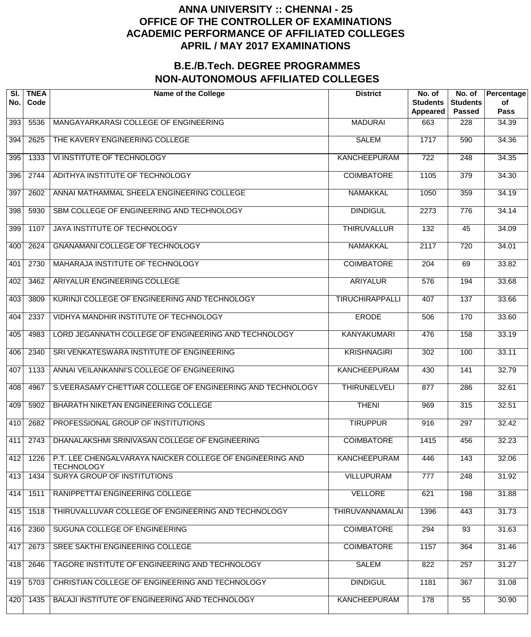| SI.<br>No. | <b>TNEA</b><br>Code | <b>Name of the College</b>                                                     | <b>District</b>        | No. of<br><b>Students</b><br><b>Appeared</b> | No. of<br><b>Students</b><br><b>Passed</b> | Percentage<br>of<br><b>Pass</b> |
|------------|---------------------|--------------------------------------------------------------------------------|------------------------|----------------------------------------------|--------------------------------------------|---------------------------------|
| 393        | 5536                | MANGAYARKARASI COLLEGE OF ENGINEERING                                          | <b>MADURAI</b>         | 663                                          | 228                                        | 34.39                           |
| 394        | 2625                | THE KAVERY ENGINEERING COLLEGE                                                 | <b>SALEM</b>           | 1717                                         | 590                                        | 34.36                           |
| 395        | 1333                | VI INSTITUTE OF TECHNOLOGY                                                     | <b>KANCHEEPURAM</b>    | $\overline{722}$                             | $\overline{248}$                           | 34.35                           |
| 396        | 2744                | ADITHYA INSTITUTE OF TECHNOLOGY                                                | <b>COIMBATORE</b>      | 1105                                         | $\overline{379}$                           | 34.30                           |
| 397        | 2602                | ANNAI MATHAMMAL SHEELA ENGINEERING COLLEGE                                     | <b>NAMAKKAL</b>        | 1050                                         | 359                                        | 34.19                           |
| 398        | 5930                | SBM COLLEGE OF ENGINEERING AND TECHNOLOGY                                      | <b>DINDIGUL</b>        | 2273                                         | 776                                        | 34.14                           |
| 399        | 1107                | JAYA INSTITUTE OF TECHNOLOGY                                                   | <b>THIRUVALLUR</b>     | 132                                          | $\overline{45}$                            | 34.09                           |
| 400        | 2624                | <b>GNANAMANI COLLEGE OF TECHNOLOGY</b>                                         | <b>NAMAKKAL</b>        | 2117                                         | $\overline{720}$                           | 34.01                           |
| 401        | 2730                | MAHARAJA INSTITUTE OF TECHNOLOGY                                               | <b>COIMBATORE</b>      | $\overline{204}$                             | 69                                         | 33.82                           |
| 402        | 3462                | ARIYALUR ENGINEERING COLLEGE                                                   | <b>ARIYALUR</b>        | $\overline{576}$                             | 194                                        | 33.68                           |
| 403        | 3809                | KURINJI COLLEGE OF ENGINEERING AND TECHNOLOGY                                  | <b>TIRUCHIRAPPALLI</b> | 407                                          | $\overline{137}$                           | 33.66                           |
| 404        | 2337                | VIDHYA MANDHIR INSTITUTE OF TECHNOLOGY                                         | <b>ERODE</b>           | 506                                          | 170                                        | 33.60                           |
| 405        | 4983                | LORD JEGANNATH COLLEGE OF ENGINEERING AND TECHNOLOGY                           | <b>KANYAKUMARI</b>     | 476                                          | 158                                        | 33.19                           |
| 406        | 2340                | SRI VENKATESWARA INSTITUTE OF ENGINEERING                                      | <b>KRISHNAGIRI</b>     | $\overline{302}$                             | 100                                        | 33.11                           |
| 407        | 1133                | ANNAI VEILANKANNI'S COLLEGE OF ENGINEERING                                     | <b>KANCHEEPURAM</b>    | 430                                          | 141                                        | 32.79                           |
| 408        | 4967                | S.VEERASAMY CHETTIAR COLLEGE OF ENGINEERING AND TECHNOLOGY                     | <b>THIRUNELVELI</b>    | 877                                          | 286                                        | 32.61                           |
| 409        | 5902                | BHARATH NIKETAN ENGINEERING COLLEGE                                            | <b>THENI</b>           | 969                                          | 315                                        | 32.51                           |
| 410        | 2682                | PROFESSIONAL GROUP OF INSTITUTIONS                                             | <b>TIRUPPUR</b>        | 916                                          | 297                                        | 32.42                           |
| 411        | 2743                | DHANALAKSHMI SRINIVASAN COLLEGE OF ENGINEERING                                 | <b>COIMBATORE</b>      | 1415                                         | 456                                        | 32.23                           |
| 412        | 1226                | P.T. LEE CHENGALVARAYA NAICKER COLLEGE OF ENGINEERING AND<br><b>TECHNOLOGY</b> | <b>KANCHEEPURAM</b>    | 446                                          | 143                                        | 32.06                           |
| 413        | 1434                | <b>SURYA GROUP OF INSTITUTIONS</b>                                             | <b>VILLUPURAM</b>      | 777                                          | $\overline{248}$                           | 31.92                           |
| 414        | 1511                | RANIPPETTAI ENGINEERING COLLEGE                                                | <b>VELLORE</b>         | 621                                          | 198                                        | 31.88                           |
| 415        | 1518                | THIRUVALLUVAR COLLEGE OF ENGINEERING AND TECHNOLOGY                            | <b>THIRUVANNAMALAI</b> | 1396                                         | 443                                        | 31.73                           |
| 416        | 2360                | SUGUNA COLLEGE OF ENGINEERING                                                  | <b>COIMBATORE</b>      | 294                                          | $\overline{93}$                            | 31.63                           |
| 417        | 2673                | SREE SAKTHI ENGINEERING COLLEGE                                                | <b>COIMBATORE</b>      | 1157                                         | 364                                        | 31.46                           |
| 418        | 2646                | TAGORE INSTITUTE OF ENGINEERING AND TECHNOLOGY                                 | <b>SALEM</b>           | 822                                          | 257                                        | 31.27                           |
| 419        | 5703                | CHRISTIAN COLLEGE OF ENGINEERING AND TECHNOLOGY                                | <b>DINDIGUL</b>        | 1181                                         | 367                                        | 31.08                           |
| 420        | 1435                | BALAJI INSTITUTE OF ENGINEERING AND TECHNOLOGY                                 | <b>KANCHEEPURAM</b>    | 178                                          | $\overline{55}$                            | 30.90                           |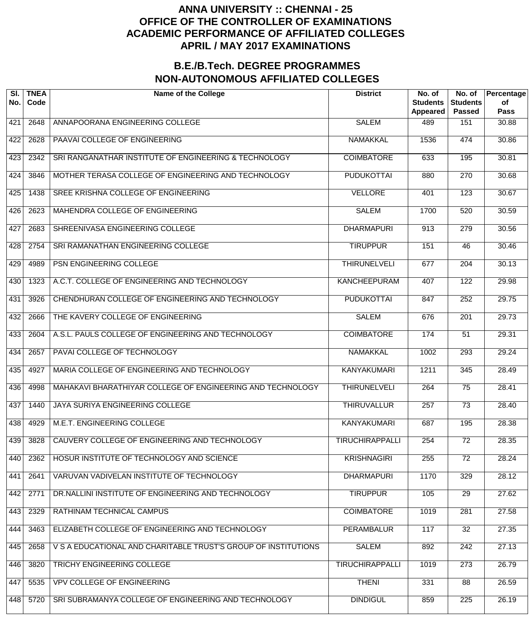| SI.<br>No. | <b>TNEA</b><br>Code | <b>Name of the College</b>                                     | <b>District</b>        | No. of<br><b>Students</b><br><b>Appeared</b> | No. of<br><b>Students</b><br><b>Passed</b> | Percentage<br>of<br><b>Pass</b> |
|------------|---------------------|----------------------------------------------------------------|------------------------|----------------------------------------------|--------------------------------------------|---------------------------------|
| 421        | 2648                | ANNAPOORANA ENGINEERING COLLEGE                                | <b>SALEM</b>           | 489                                          | 151                                        | 30.88                           |
| 422        | 2628                | PAAVAI COLLEGE OF ENGINEERING                                  | <b>NAMAKKAL</b>        | 1536                                         | 474                                        | 30.86                           |
| 423        | 2342                | SRI RANGANATHAR INSTITUTE OF ENGINEERING & TECHNOLOGY          | <b>COIMBATORE</b>      | 633                                          | 195                                        | 30.81                           |
| 424        | 3846                | MOTHER TERASA COLLEGE OF ENGINEERING AND TECHNOLOGY            | <b>PUDUKOTTAI</b>      | 880                                          | 270                                        | 30.68                           |
| 425        | 1438                | SREE KRISHNA COLLEGE OF ENGINEERING                            | <b>VELLORE</b>         | 401                                          | $\overline{123}$                           | 30.67                           |
| 426        | 2623                | MAHENDRA COLLEGE OF ENGINEERING                                | <b>SALEM</b>           | 1700                                         | 520                                        | 30.59                           |
| 427        | 2683                | SHREENIVASA ENGINEERING COLLEGE                                | <b>DHARMAPURI</b>      | 913                                          | $\overline{279}$                           | 30.56                           |
| 428        | 2754                | SRI RAMANATHAN ENGINEERING COLLEGE                             | <b>TIRUPPUR</b>        | 151                                          | $\overline{46}$                            | 30.46                           |
| 429        | 4989                | PSN ENGINEERING COLLEGE                                        | <b>THIRUNELVELI</b>    | 677                                          | $\overline{204}$                           | 30.13                           |
| 430        | 1323                | A.C.T. COLLEGE OF ENGINEERING AND TECHNOLOGY                   | <b>KANCHEEPURAM</b>    | 407                                          | $\overline{122}$                           | 29.98                           |
| 431        | 3926                | CHENDHURAN COLLEGE OF ENGINEERING AND TECHNOLOGY               | <b>PUDUKOTTAI</b>      | 847                                          | 252                                        | 29.75                           |
| 432        | 2666                | THE KAVERY COLLEGE OF ENGINEERING                              | <b>SALEM</b>           | 676                                          | $\overline{201}$                           | 29.73                           |
| 433        | 2604                | A.S.L. PAULS COLLEGE OF ENGINEERING AND TECHNOLOGY             | <b>COIMBATORE</b>      | 174                                          | $\overline{51}$                            | 29.31                           |
| 434        | 2657                | PAVAI COLLEGE OF TECHNOLOGY                                    | <b>NAMAKKAL</b>        | 1002                                         | 293                                        | 29.24                           |
| 435        | 4927                | MARIA COLLEGE OF ENGINEERING AND TECHNOLOGY                    | <b>KANYAKUMARI</b>     | 1211                                         | $\frac{1}{345}$                            | 28.49                           |
| 436        | 4998                | MAHAKAVI BHARATHIYAR COLLEGE OF ENGINEERING AND TECHNOLOGY     | <b>THIRUNELVELI</b>    | 264                                          | $\overline{75}$                            | 28.41                           |
| 437        | 1440                | JAYA SURIYA ENGINEERING COLLEGE                                | <b>THIRUVALLUR</b>     | 257                                          | $\overline{73}$                            | 28.40                           |
| 438        | 4929                | <b>M.E.T. ENGINEERING COLLEGE</b>                              | <b>KANYAKUMARI</b>     | 687                                          | 195                                        | 28.38                           |
| 439        | 3828                | CAUVERY COLLEGE OF ENGINEERING AND TECHNOLOGY                  | <b>TIRUCHIRAPPALLI</b> | 254                                          | $\overline{72}$                            | 28.35                           |
| 440        | 2362                | HOSUR INSTITUTE OF TECHNOLOGY AND SCIENCE                      | <b>KRISHNAGIRI</b>     | 255                                          | $\overline{72}$                            | 28.24                           |
| 441        | 2641                | VARUVAN VADIVELAN INSTITUTE OF TECHNOLOGY                      | <b>DHARMAPURI</b>      | 1170                                         | 329                                        | 28.12                           |
| 442        | 2771                | DR.NALLINI INSTITUTE OF ENGINEERING AND TECHNOLOGY             | <b>TIRUPPUR</b>        | 105                                          | $\overline{29}$                            | 27.62                           |
| 443        | 2329                | <b>RATHINAM TECHNICAL CAMPUS</b>                               | <b>COIMBATORE</b>      | 1019                                         | 281                                        | 27.58                           |
| 444        | 3463                | ELIZABETH COLLEGE OF ENGINEERING AND TECHNOLOGY                | <b>PERAMBALUR</b>      | 117                                          | $\overline{32}$                            | 27.35                           |
| 445        | 2658                | V S A EDUCATIONAL AND CHARITABLE TRUST'S GROUP OF INSTITUTIONS | <b>SALEM</b>           | 892                                          | $\overline{242}$                           | 27.13                           |
| 446        | 3820                | <b>TRICHY ENGINEERING COLLEGE</b>                              | <b>TIRUCHIRAPPALLI</b> | 1019                                         | $\overline{273}$                           | 26.79                           |
| 447        | 5535                | <b>VPV COLLEGE OF ENGINEERING</b>                              | <b>THENI</b>           | 331                                          | $\overline{88}$                            | 26.59                           |
| 448        | 5720                | SRI SUBRAMANYA COLLEGE OF ENGINEERING AND TECHNOLOGY           | <b>DINDIGUL</b>        | 859                                          | $\overline{225}$                           | 26.19                           |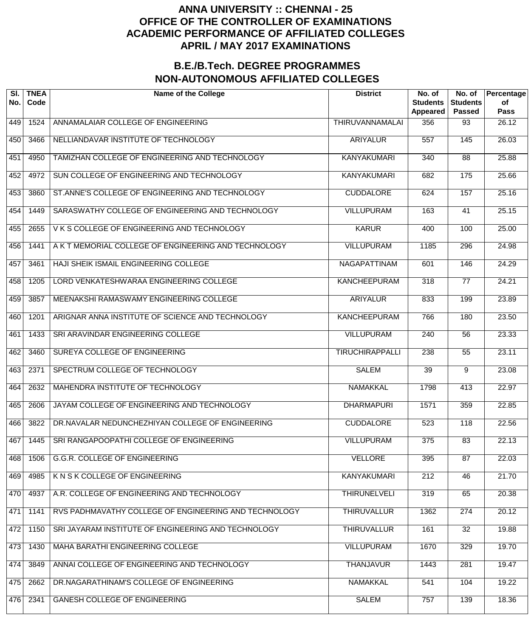| SI.<br>No. | <b>TNEA</b><br>Code | <b>Name of the College</b>                            | <b>District</b>        | No. of<br><b>Students</b><br>Appeared | No. of<br><b>Students</b><br><b>Passed</b> | Percentage<br>of<br><b>Pass</b> |
|------------|---------------------|-------------------------------------------------------|------------------------|---------------------------------------|--------------------------------------------|---------------------------------|
| 449        | 1524                | ANNAMALAIAR COLLEGE OF ENGINEERING                    | <b>THIRUVANNAMALAI</b> | 356                                   | 93                                         | 26.12                           |
| 450        | 3466                | NELLIANDAVAR INSTITUTE OF TECHNOLOGY                  | <b>ARIYALUR</b>        | 557                                   | 145                                        | 26.03                           |
| 451        | 4950                | TAMIZHAN COLLEGE OF ENGINEERING AND TECHNOLOGY        | <b>KANYAKUMARI</b>     | 340                                   | $\overline{88}$                            | 25.88                           |
| 452        | 4972                | SUN COLLEGE OF ENGINEERING AND TECHNOLOGY             | <b>KANYAKUMARI</b>     | 682                                   | 175                                        | 25.66                           |
| 453        | 3860                | ST.ANNE'S COLLEGE OF ENGINEERING AND TECHNOLOGY       | <b>CUDDALORE</b>       | 624                                   | 157                                        | 25.16                           |
| 454        | 1449                | SARASWATHY COLLEGE OF ENGINEERING AND TECHNOLOGY      | <b>VILLUPURAM</b>      | 163                                   | 41                                         | 25.15                           |
| 455        | 2655                | V K S COLLEGE OF ENGINEERING AND TECHNOLOGY           | <b>KARUR</b>           | 400                                   | 100                                        | 25.00                           |
| 456        | 1441                | A K T MEMORIAL COLLEGE OF ENGINEERING AND TECHNOLOGY  | <b>VILLUPURAM</b>      | 1185                                  | 296                                        | 24.98                           |
| 457        | 3461                | HAJI SHEIK ISMAIL ENGINEERING COLLEGE                 | <b>NAGAPATTINAM</b>    | 601                                   | 146                                        | 24.29                           |
| 458        | 1205                | LORD VENKATESHWARAA ENGINEERING COLLEGE               | <b>KANCHEEPURAM</b>    | $\overline{318}$                      | $\overline{77}$                            | 24.21                           |
| 459        | 3857                | MEENAKSHI RAMASWAMY ENGINEERING COLLEGE               | <b>ARIYALUR</b>        | 833                                   | 199                                        | 23.89                           |
| 460        | 1201                | ARIGNAR ANNA INSTITUTE OF SCIENCE AND TECHNOLOGY      | <b>KANCHEEPURAM</b>    | 766                                   | 180                                        | 23.50                           |
| 461        | 1433                | SRI ARAVINDAR ENGINEERING COLLEGE                     | <b>VILLUPURAM</b>      | 240                                   | $\overline{56}$                            | 23.33                           |
| 462        | 3460                | SUREYA COLLEGE OF ENGINEERING                         | <b>TIRUCHIRAPPALLI</b> | 238                                   | $\overline{55}$                            | 23.11                           |
| 463        | 2371                | SPECTRUM COLLEGE OF TECHNOLOGY                        | <b>SALEM</b>           | $\overline{39}$                       | 9                                          | 23.08                           |
| 464        | 2632                | MAHENDRA INSTITUTE OF TECHNOLOGY                      | <b>NAMAKKAL</b>        | 1798                                  | 413                                        | 22.97                           |
| 465        | 2606                | JAYAM COLLEGE OF ENGINEERING AND TECHNOLOGY           | <b>DHARMAPURI</b>      | 1571                                  | 359                                        | 22.85                           |
| 466        | 3822                | DR.NAVALAR NEDUNCHEZHIYAN COLLEGE OF ENGINEERING      | <b>CUDDALORE</b>       | 523                                   | 118                                        | 22.56                           |
| 467        | 1445                | SRI RANGAPOOPATHI COLLEGE OF ENGINEERING              | <b>VILLUPURAM</b>      | 375                                   | 83                                         | 22.13                           |
| 468        | 1506                | G.G.R. COLLEGE OF ENGINEERING                         | <b>VELLORE</b>         | 395                                   | 87                                         | 22.03                           |
| 469        | 4985                | K N S K COLLEGE OF ENGINEERING                        | <b>KANYAKUMARI</b>     | $\overline{212}$                      | 46                                         | 21.70                           |
| 470        | 4937                | A.R. COLLEGE OF ENGINEERING AND TECHNOLOGY            | <b>THIRUNELVELI</b>    | 319                                   | 65                                         | 20.38                           |
| 471        | 1141                | RVS PADHMAVATHY COLLEGE OF ENGINEERING AND TECHNOLOGY | <b>THIRUVALLUR</b>     | 1362                                  | 274                                        | 20.12                           |
| 472        | 1150                | SRI JAYARAM INSTITUTE OF ENGINEERING AND TECHNOLOGY   | <b>THIRUVALLUR</b>     | 161                                   | 32                                         | 19.88                           |
| 473        | 1430                | MAHA BARATHI ENGINEERING COLLEGE                      | <b>VILLUPURAM</b>      | 1670                                  | 329                                        | 19.70                           |
| 474        | 3849                | ANNAI COLLEGE OF ENGINEERING AND TECHNOLOGY           | <b>THANJAVUR</b>       | 1443                                  | 281                                        | 19.47                           |
| 475        | 2662                | DR.NAGARATHINAM'S COLLEGE OF ENGINEERING              | <b>NAMAKKAL</b>        | 541                                   | 104                                        | 19.22                           |
| 476        | 2341                | <b>GANESH COLLEGE OF ENGINEERING</b>                  | <b>SALEM</b>           | 757                                   | 139                                        | 18.36                           |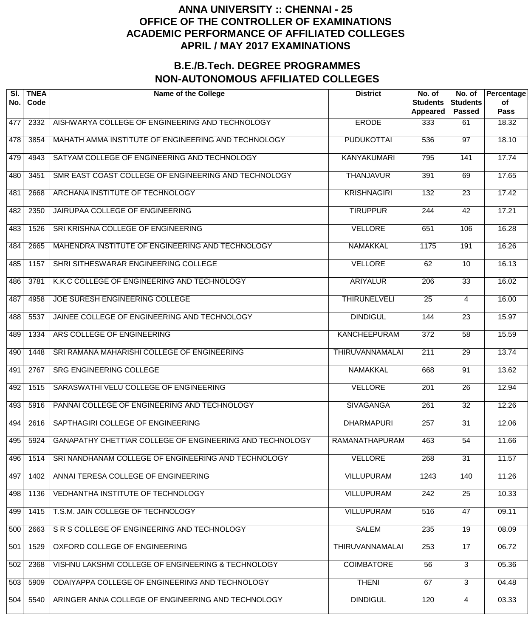| SI.<br>No. | <b>TNEA</b><br>Code | <b>Name of the College</b>                               | <b>District</b>       | No. of<br><b>Students</b><br><b>Appeared</b> | No. of<br><b>Students</b><br><b>Passed</b> | Percentage<br>of<br><b>Pass</b> |
|------------|---------------------|----------------------------------------------------------|-----------------------|----------------------------------------------|--------------------------------------------|---------------------------------|
| 477        | 2332                | AISHWARYA COLLEGE OF ENGINEERING AND TECHNOLOGY          | <b>ERODE</b>          | 333                                          | 61                                         | 18.32                           |
| 478        | 3854                | MAHATH AMMA INSTITUTE OF ENGINEERING AND TECHNOLOGY      | <b>PUDUKOTTAI</b>     | 536                                          | $\overline{97}$                            | 18.10                           |
| 479        | 4943                | SATYAM COLLEGE OF ENGINEERING AND TECHNOLOGY             | <b>KANYAKUMARI</b>    | 795                                          | 141                                        | 17.74                           |
| 480        | 3451                | SMR EAST COAST COLLEGE OF ENGINEERING AND TECHNOLOGY     | <b>THANJAVUR</b>      | 391                                          | 69                                         | 17.65                           |
| 481        | 2668                | ARCHANA INSTITUTE OF TECHNOLOGY                          | <b>KRISHNAGIRI</b>    | 132                                          | $\overline{23}$                            | 17.42                           |
| 482        | 2350                | JAIRUPAA COLLEGE OF ENGINEERING                          | <b>TIRUPPUR</b>       | $\overline{244}$                             | $\overline{42}$                            | 17.21                           |
| 483        | 1526                | SRI KRISHNA COLLEGE OF ENGINEERING                       | <b>VELLORE</b>        | 651                                          | 106                                        | 16.28                           |
| 484        | 2665                | MAHENDRA INSTITUTE OF ENGINEERING AND TECHNOLOGY         | <b>NAMAKKAL</b>       | 1175                                         | 191                                        | 16.26                           |
| 485        | 1157                | SHRI SITHESWARAR ENGINEERING COLLEGE                     | <b>VELLORE</b>        | 62                                           | $\overline{10}$                            | 16.13                           |
| 486        | 3781                | K.K.C COLLEGE OF ENGINEERING AND TECHNOLOGY              | <b>ARIYALUR</b>       | $\overline{206}$                             | $\overline{33}$                            | 16.02                           |
| 487        | 4958                | JOE SURESH ENGINEERING COLLEGE                           | <b>THIRUNELVELI</b>   | 25                                           | 4                                          | 16.00                           |
| 488        | 5537                | JAINEE COLLEGE OF ENGINEERING AND TECHNOLOGY             | <b>DINDIGUL</b>       | 144                                          | $\overline{23}$                            | 15.97                           |
| 489        | 1334                | ARS COLLEGE OF ENGINEERING                               | <b>KANCHEEPURAM</b>   | 372                                          | $\overline{58}$                            | 15.59                           |
| 490        | 1448                | SRI RAMANA MAHARISHI COLLEGE OF ENGINEERING              | THIRUVANNAMALAI       | $\overline{211}$                             | $\overline{29}$                            | 13.74                           |
| 491        | 2767                | SRG ENGINEERING COLLEGE                                  | <b>NAMAKKAL</b>       | 668                                          | $\overline{91}$                            | 13.62                           |
| 492        | 1515                | SARASWATHI VELU COLLEGE OF ENGINEERING                   | <b>VELLORE</b>        | 201                                          | $\overline{26}$                            | 12.94                           |
| 493        | 5916                | PANNAI COLLEGE OF ENGINEERING AND TECHNOLOGY             | <b>SIVAGANGA</b>      | $\overline{261}$                             | $\overline{32}$                            | 12.26                           |
| 494        | 2616                | SAPTHAGIRI COLLEGE OF ENGINEERING                        | <b>DHARMAPURI</b>     | 257                                          | $\overline{31}$                            | 12.06                           |
| 495        | 5924                | GANAPATHY CHETTIAR COLLEGE OF ENGINEERING AND TECHNOLOGY | <b>RAMANATHAPURAM</b> | 463                                          | 54                                         | 11.66                           |
| 496        | 1514                | SRI NANDHANAM COLLEGE OF ENGINEERING AND TECHNOLOGY      | <b>VELLORE</b>        | 268                                          | $\overline{31}$                            | 11.57                           |
| 497        | 1402                | ANNAI TERESA COLLEGE OF ENGINEERING                      | <b>VILLUPURAM</b>     | 1243                                         | 140                                        | 11.26                           |
| 498        | 1136                | VEDHANTHA INSTITUTE OF TECHNOLOGY                        | <b>VILLUPURAM</b>     | 242                                          | $\overline{25}$                            | 10.33                           |
| 499        | 1415                | T.S.M. JAIN COLLEGE OF TECHNOLOGY                        | <b>VILLUPURAM</b>     | 516                                          | 47                                         | 09.11                           |
| 500        | 2663                | SR S COLLEGE OF ENGINEERING AND TECHNOLOGY               | <b>SALEM</b>          | 235                                          | $\overline{19}$                            | 08.09                           |
| 501        | 1529                | OXFORD COLLEGE OF ENGINEERING                            | THIRUVANNAMALAI       | 253                                          | $\overline{17}$                            | 06.72                           |
| 502        | 2368                | VISHNU LAKSHMI COLLEGE OF ENGINEERING & TECHNOLOGY       | <b>COIMBATORE</b>     | 56                                           | $\overline{3}$                             | 05.36                           |
| 503        | 5909                | ODAIYAPPA COLLEGE OF ENGINEERING AND TECHNOLOGY          | <b>THENI</b>          | 67                                           | $\overline{3}$                             | 04.48                           |
| 504        | 5540                | ARINGER ANNA COLLEGE OF ENGINEERING AND TECHNOLOGY       | <b>DINDIGUL</b>       | 120                                          | 4                                          | 03.33                           |